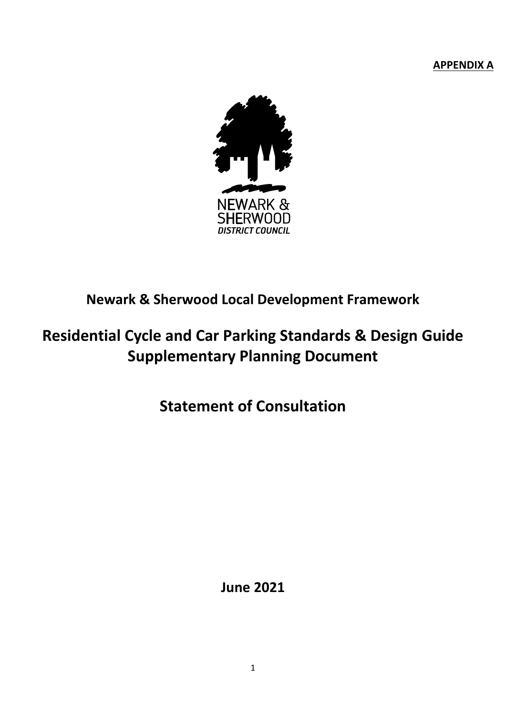**APPENDIX A**



# **Newark & Sherwood Local Development Framework**

# **Residential Cycle and Car Parking Standards & Design Guide Supplementary Planning Document**

**Statement of Consultation**

**June 2021**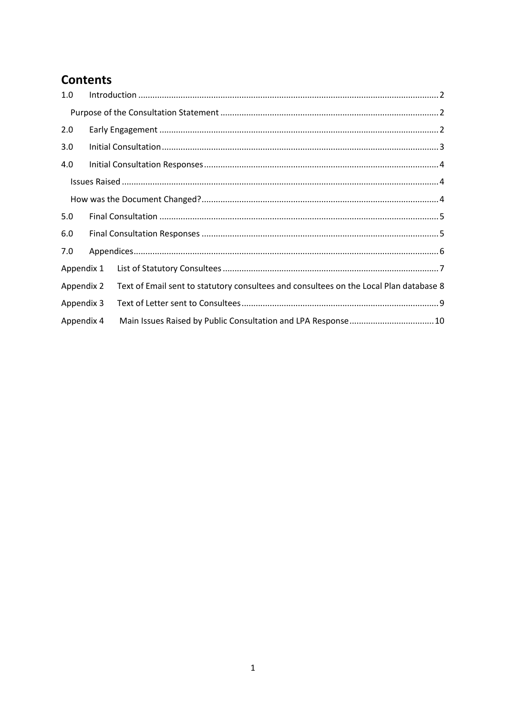## **Contents**

| 1.0        |                                                                                        |  |
|------------|----------------------------------------------------------------------------------------|--|
|            |                                                                                        |  |
| 2.0        |                                                                                        |  |
| 3.0        |                                                                                        |  |
| 4.0        |                                                                                        |  |
|            |                                                                                        |  |
|            |                                                                                        |  |
| 5.0        |                                                                                        |  |
| 6.0        |                                                                                        |  |
| 7.0        |                                                                                        |  |
| Appendix 1 |                                                                                        |  |
| Appendix 2 | Text of Email sent to statutory consultees and consultees on the Local Plan database 8 |  |
| Appendix 3 |                                                                                        |  |
| Appendix 4 |                                                                                        |  |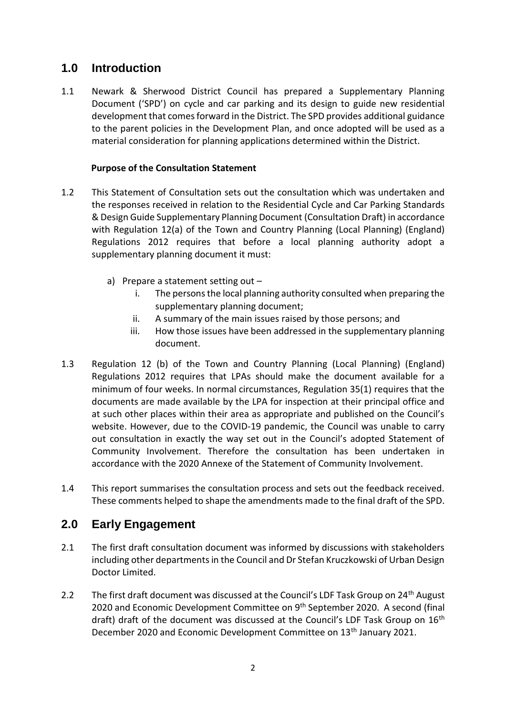### <span id="page-2-0"></span>**1.0 Introduction**

1.1 Newark & Sherwood District Council has prepared a Supplementary Planning Document ('SPD') on cycle and car parking and its design to guide new residential development that comes forward in the District. The SPD provides additional guidance to the parent policies in the Development Plan, and once adopted will be used as a material consideration for planning applications determined within the District.

### **Purpose of the Consultation Statement**

- <span id="page-2-1"></span>1.2 This Statement of Consultation sets out the consultation which was undertaken and the responses received in relation to the Residential Cycle and Car Parking Standards & Design Guide Supplementary Planning Document (Consultation Draft) in accordance with Regulation 12(a) of the Town and Country Planning (Local Planning) (England) Regulations 2012 requires that before a local planning authority adopt a supplementary planning document it must:
	- a) Prepare a statement setting out
		- i. The persons the local planning authority consulted when preparing the supplementary planning document;
		- ii. A summary of the main issues raised by those persons; and
		- iii. How those issues have been addressed in the supplementary planning document.
- 1.3 Regulation 12 (b) of the Town and Country Planning (Local Planning) (England) Regulations 2012 requires that LPAs should make the document available for a minimum of four weeks. In normal circumstances, Regulation 35(1) requires that the documents are made available by the LPA for inspection at their principal office and at such other places within their area as appropriate and published on the Council's website. However, due to the COVID-19 pandemic, the Council was unable to carry out consultation in exactly the way set out in the Council's adopted Statement of Community Involvement. Therefore the consultation has been undertaken in accordance with the 2020 Annexe of the Statement of Community Involvement.
- 1.4 This report summarises the consultation process and sets out the feedback received. These comments helped to shape the amendments made to the final draft of the SPD.

### <span id="page-2-2"></span>**2.0 Early Engagement**

- 2.1 The first draft consultation document was informed by discussions with stakeholders including other departments in the Council and Dr Stefan Kruczkowski of Urban Design Doctor Limited.
- 2.2 The first draft document was discussed at the Council's LDF Task Group on 24<sup>th</sup> August 2020 and Economic Development Committee on 9<sup>th</sup> September 2020. A second (final draft) draft of the document was discussed at the Council's LDF Task Group on  $16<sup>th</sup>$ December 2020 and Economic Development Committee on 13<sup>th</sup> January 2021.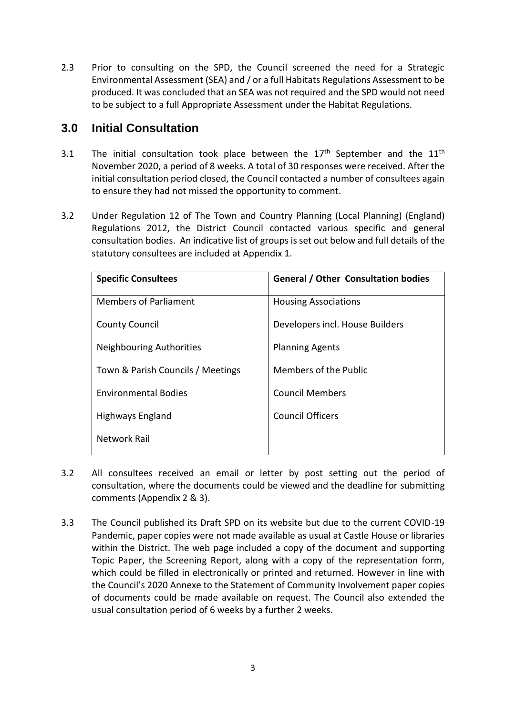2.3 Prior to consulting on the SPD, the Council screened the need for a Strategic Environmental Assessment (SEA) and / or a full Habitats Regulations Assessment to be produced. It was concluded that an SEA was not required and the SPD would not need to be subject to a full Appropriate Assessment under the Habitat Regulations.

### <span id="page-3-0"></span>**3.0 Initial Consultation**

- 3.1 The initial consultation took place between the  $17<sup>th</sup>$  September and the  $11<sup>th</sup>$ November 2020, a period of 8 weeks. A total of 30 responses were received. After the initial consultation period closed, the Council contacted a number of consultees again to ensure they had not missed the opportunity to comment.
- 3.2 Under Regulation 12 of The Town and Country Planning (Local Planning) (England) Regulations 2012, the District Council contacted various specific and general consultation bodies. An indicative list of groups is set out below and full details of the statutory consultees are included at Appendix 1.

| <b>Specific Consultees</b>        | <b>General / Other Consultation bodies</b> |
|-----------------------------------|--------------------------------------------|
| <b>Members of Parliament</b>      | <b>Housing Associations</b>                |
| <b>County Council</b>             | Developers incl. House Builders            |
| <b>Neighbouring Authorities</b>   | <b>Planning Agents</b>                     |
| Town & Parish Councils / Meetings | Members of the Public                      |
| <b>Environmental Bodies</b>       | <b>Council Members</b>                     |
| Highways England                  | <b>Council Officers</b>                    |
| <b>Network Rail</b>               |                                            |
|                                   |                                            |

- 3.2 All consultees received an email or letter by post setting out the period of consultation, where the documents could be viewed and the deadline for submitting comments (Appendix 2 & 3).
- 3.3 The Council published its Draft SPD on its website but due to the current COVID-19 Pandemic, paper copies were not made available as usual at Castle House or libraries within the District. The web page included a copy of the document and supporting Topic Paper, the Screening Report, along with a copy of the representation form, which could be filled in electronically or printed and returned. However in line with the Council's 2020 Annexe to the Statement of Community Involvement paper copies of documents could be made available on request. The Council also extended the usual consultation period of 6 weeks by a further 2 weeks.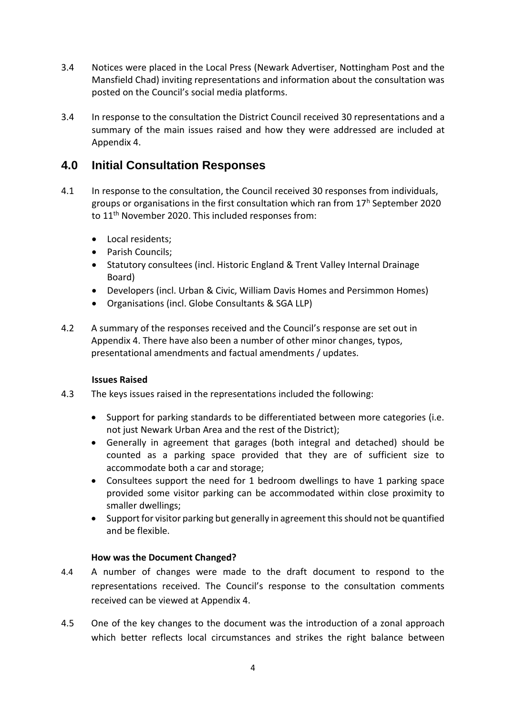- 3.4 Notices were placed in the Local Press (Newark Advertiser, Nottingham Post and the Mansfield Chad) inviting representations and information about the consultation was posted on the Council's social media platforms.
- 3.4 In response to the consultation the District Council received 30 representations and a summary of the main issues raised and how they were addressed are included at Appendix 4.

### <span id="page-4-0"></span>**4.0 Initial Consultation Responses**

- 4.1 In response to the consultation, the Council received 30 responses from individuals, groups or organisations in the first consultation which ran from  $17<sup>h</sup>$  September 2020 to 11<sup>th</sup> November 2020. This included responses from:
	- Local residents:
	- Parish Councils;
	- Statutory consultees (incl. Historic England & Trent Valley Internal Drainage Board)
	- Developers (incl. Urban & Civic, William Davis Homes and Persimmon Homes)
	- Organisations (incl. Globe Consultants & SGA LLP)
- 4.2 A summary of the responses received and the Council's response are set out in Appendix 4. There have also been a number of other minor changes, typos, presentational amendments and factual amendments / updates.

#### <span id="page-4-1"></span>**Issues Raised**

- 4.3 The keys issues raised in the representations included the following:
	- Support for parking standards to be differentiated between more categories (i.e. not just Newark Urban Area and the rest of the District);
	- Generally in agreement that garages (both integral and detached) should be counted as a parking space provided that they are of sufficient size to accommodate both a car and storage;
	- Consultees support the need for 1 bedroom dwellings to have 1 parking space provided some visitor parking can be accommodated within close proximity to smaller dwellings;
	- Support for visitor parking but generally in agreement this should not be quantified and be flexible.

#### **How was the Document Changed?**

- <span id="page-4-2"></span>4.4 A number of changes were made to the draft document to respond to the representations received. The Council's response to the consultation comments received can be viewed at Appendix 4.
- 4.5 One of the key changes to the document was the introduction of a zonal approach which better reflects local circumstances and strikes the right balance between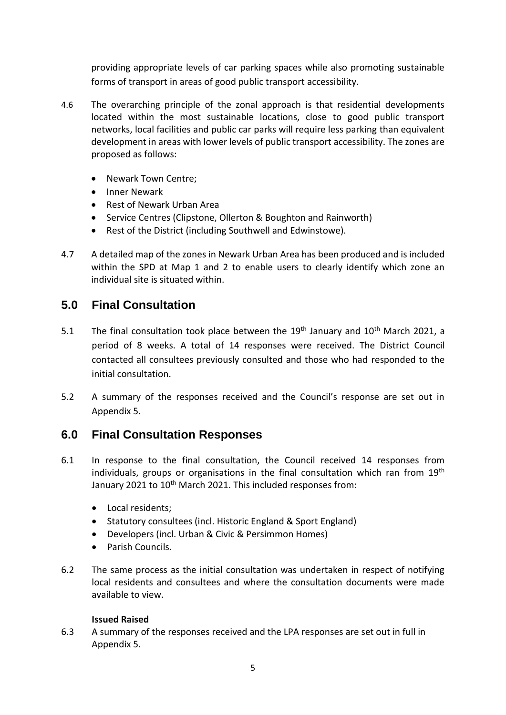providing appropriate levels of car parking spaces while also promoting sustainable forms of transport in areas of good public transport accessibility.

- 4.6 The overarching principle of the zonal approach is that residential developments located within the most sustainable locations, close to good public transport networks, local facilities and public car parks will require less parking than equivalent development in areas with lower levels of public transport accessibility. The zones are proposed as follows:
	- Newark Town Centre;
	- Inner Newark
	- Rest of Newark Urban Area
	- Service Centres (Clipstone, Ollerton & Boughton and Rainworth)
	- Rest of the District (including Southwell and Edwinstowe).
- 4.7 A detailed map of the zones in Newark Urban Area has been produced and is included within the SPD at Map 1 and 2 to enable users to clearly identify which zone an individual site is situated within.

### <span id="page-5-0"></span>**5.0 Final Consultation**

- 5.1 The final consultation took place between the  $19<sup>th</sup>$  January and  $10<sup>th</sup>$  March 2021, a period of 8 weeks. A total of 14 responses were received. The District Council contacted all consultees previously consulted and those who had responded to the initial consultation.
- 5.2 A summary of the responses received and the Council's response are set out in Appendix 5.

### <span id="page-5-1"></span>**6.0 Final Consultation Responses**

- 6.1 In response to the final consultation, the Council received 14 responses from individuals, groups or organisations in the final consultation which ran from 19<sup>th</sup> January 2021 to 10<sup>th</sup> March 2021. This included responses from:
	- Local residents:
	- Statutory consultees (incl. Historic England & Sport England)
	- Developers (incl. Urban & Civic & Persimmon Homes)
	- **•** Parish Councils
- 6.2 The same process as the initial consultation was undertaken in respect of notifying local residents and consultees and where the consultation documents were made available to view.

#### **Issued Raised**

6.3 A summary of the responses received and the LPA responses are set out in full in Appendix 5.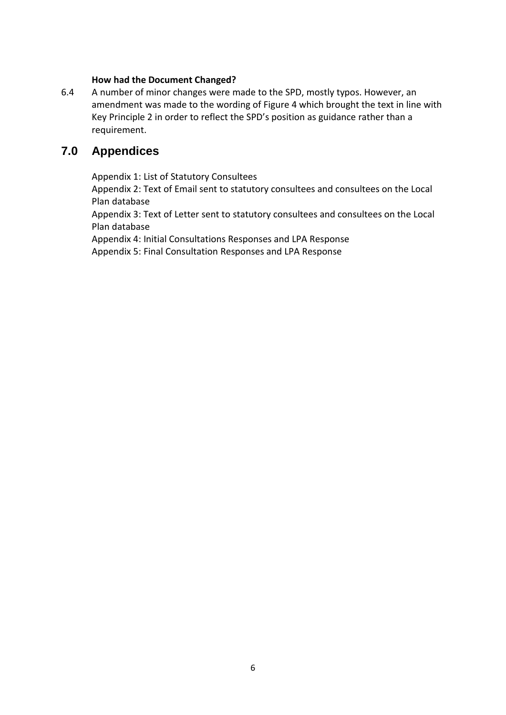#### **How had the Document Changed?**

6.4 A number of minor changes were made to the SPD, mostly typos. However, an amendment was made to the wording of Figure 4 which brought the text in line with Key Principle 2 in order to reflect the SPD's position as guidance rather than a requirement.

### <span id="page-6-0"></span>**7.0 Appendices**

Appendix 1: List of Statutory Consultees

Appendix 2: Text of Email sent to statutory consultees and consultees on the Local Plan database

Appendix 3: Text of Letter sent to statutory consultees and consultees on the Local Plan database

Appendix 4: Initial Consultations Responses and LPA Response Appendix 5: Final Consultation Responses and LPA Response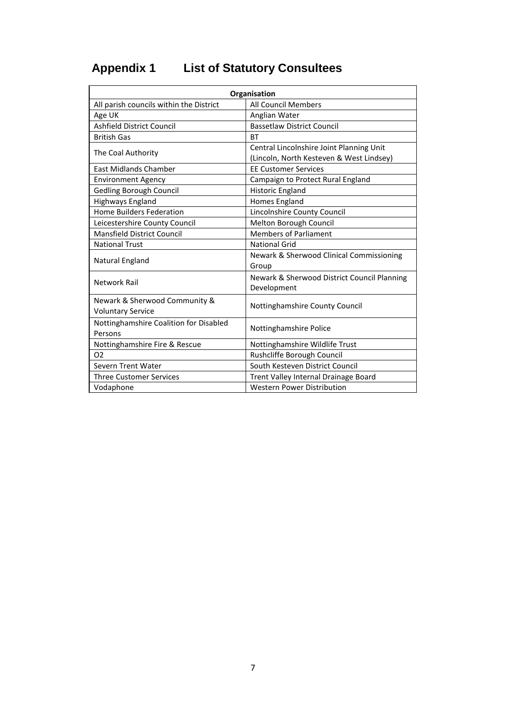# <span id="page-7-0"></span>**Appendix 1 List of Statutory Consultees**

| Organisation                                              |                                                                                      |  |  |
|-----------------------------------------------------------|--------------------------------------------------------------------------------------|--|--|
| All parish councils within the District                   | <b>All Council Members</b>                                                           |  |  |
| Age UK                                                    | Anglian Water                                                                        |  |  |
| Ashfield District Council                                 | <b>Bassetlaw District Council</b>                                                    |  |  |
| <b>British Gas</b>                                        | <b>BT</b>                                                                            |  |  |
| The Coal Authority                                        | Central Lincolnshire Joint Planning Unit<br>(Lincoln, North Kesteven & West Lindsey) |  |  |
| <b>East Midlands Chamber</b>                              | <b>EE Customer Services</b>                                                          |  |  |
| <b>Environment Agency</b>                                 | Campaign to Protect Rural England                                                    |  |  |
| Gedling Borough Council                                   | <b>Historic England</b>                                                              |  |  |
| Highways England                                          | Homes England                                                                        |  |  |
| <b>Home Builders Federation</b>                           | Lincolnshire County Council                                                          |  |  |
| Leicestershire County Council                             | Melton Borough Council                                                               |  |  |
| <b>Mansfield District Council</b>                         | <b>Members of Parliament</b>                                                         |  |  |
| <b>National Trust</b>                                     | <b>National Grid</b>                                                                 |  |  |
| Natural England                                           | Newark & Sherwood Clinical Commissioning<br>Group                                    |  |  |
| Network Rail                                              | Newark & Sherwood District Council Planning<br>Development                           |  |  |
| Newark & Sherwood Community &<br><b>Voluntary Service</b> | Nottinghamshire County Council                                                       |  |  |
| Nottinghamshire Coalition for Disabled<br>Persons         | Nottinghamshire Police                                                               |  |  |
| Nottinghamshire Fire & Rescue                             | Nottinghamshire Wildlife Trust                                                       |  |  |
| O <sub>2</sub>                                            | Rushcliffe Borough Council                                                           |  |  |
| Severn Trent Water                                        | South Kesteven District Council                                                      |  |  |
| <b>Three Customer Services</b>                            | Trent Valley Internal Drainage Board                                                 |  |  |
| Vodaphone                                                 | <b>Western Power Distribution</b>                                                    |  |  |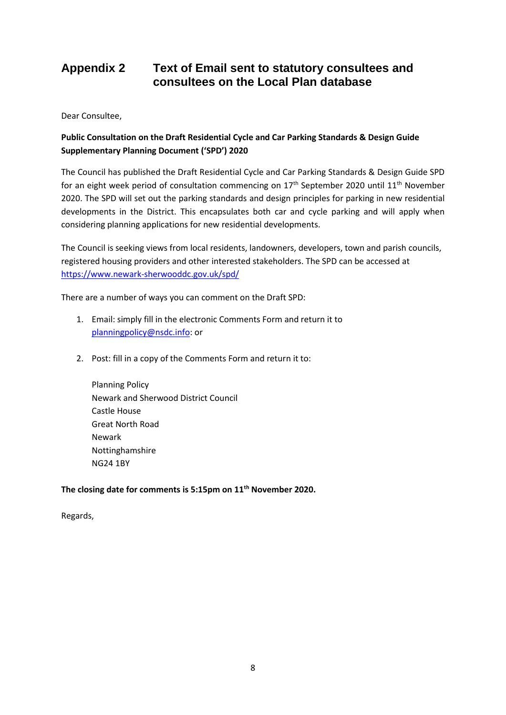### <span id="page-8-0"></span>**Appendix 2 Text of Email sent to statutory consultees and consultees on the Local Plan database**

Dear Consultee,

#### **Public Consultation on the Draft Residential Cycle and Car Parking Standards & Design Guide Supplementary Planning Document ('SPD') 2020**

The Council has published the Draft Residential Cycle and Car Parking Standards & Design Guide SPD for an eight week period of consultation commencing on  $17<sup>th</sup>$  September 2020 until  $11<sup>th</sup>$  November 2020. The SPD will set out the parking standards and design principles for parking in new residential developments in the District. This encapsulates both car and cycle parking and will apply when considering planning applications for new residential developments.

The Council is seeking views from local residents, landowners, developers, town and parish councils, registered housing providers and other interested stakeholders. The SPD can be accessed at <https://www.newark-sherwooddc.gov.uk/spd/>

There are a number of ways you can comment on the Draft SPD:

- 1. Email: simply fill in the electronic Comments Form and return it to [planningpolicy@nsdc.info:](mailto:planningpolicy@nsdc.info) or
- 2. Post: fill in a copy of the Comments Form and return it to:

Planning Policy Newark and Sherwood District Council Castle House Great North Road Newark Nottinghamshire NG24 1BY

**The closing date for comments is 5:15pm on 11th November 2020.**

Regards,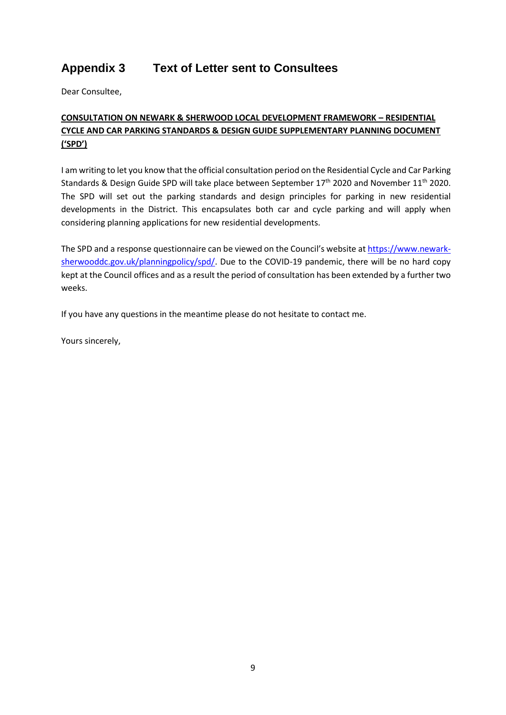### <span id="page-9-0"></span>**Appendix 3 Text of Letter sent to Consultees**

Dear Consultee,

#### **CONSULTATION ON NEWARK & SHERWOOD LOCAL DEVELOPMENT FRAMEWORK – RESIDENTIAL CYCLE AND CAR PARKING STANDARDS & DESIGN GUIDE SUPPLEMENTARY PLANNING DOCUMENT ('SPD')**

I am writing to let you know that the official consultation period on the Residential Cycle and Car Parking Standards & Design Guide SPD will take place between September  $17<sup>th</sup>$  2020 and November  $11<sup>th</sup>$  2020. The SPD will set out the parking standards and design principles for parking in new residential developments in the District. This encapsulates both car and cycle parking and will apply when considering planning applications for new residential developments.

The SPD and a response questionnaire can be viewed on the Council's website at [https://www.newark](https://www.newark-sherwooddc.gov.uk/planningpolicy/spd/)[sherwooddc.gov.uk/planningpolicy/spd/.](https://www.newark-sherwooddc.gov.uk/planningpolicy/spd/) Due to the COVID-19 pandemic, there will be no hard copy kept at the Council offices and as a result the period of consultation has been extended by a further two weeks.

If you have any questions in the meantime please do not hesitate to contact me.

Yours sincerely,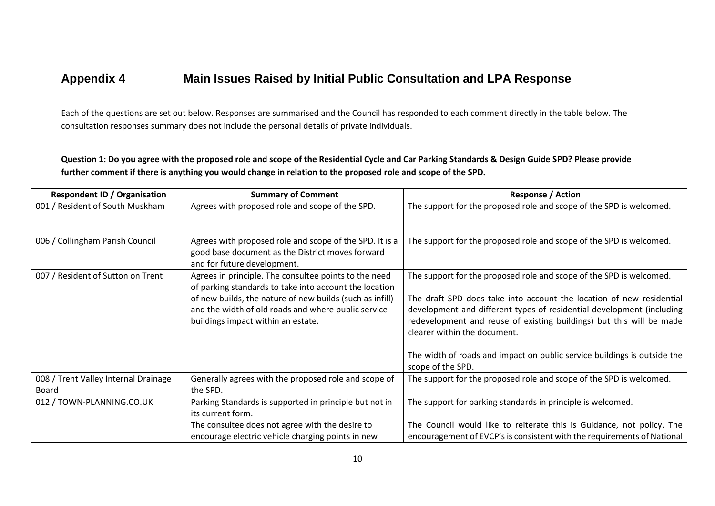### **Appendix 4 Main Issues Raised by Initial Public Consultation and LPA Response**

Each of the questions are set out below. Responses are summarised and the Council has responded to each comment directly in the table below. The consultation responses summary does not include the personal details of private individuals.

**Question 1: Do you agree with the proposed role and scope of the Residential Cycle and Car Parking Standards & Design Guide SPD? Please provide further comment if there is anything you would change in relation to the proposed role and scope of the SPD.**

<span id="page-10-0"></span>

| <b>Respondent ID / Organisation</b>           | <b>Summary of Comment</b>                                                                                                                             | <b>Response / Action</b>                                                                                                                                                                                                                              |
|-----------------------------------------------|-------------------------------------------------------------------------------------------------------------------------------------------------------|-------------------------------------------------------------------------------------------------------------------------------------------------------------------------------------------------------------------------------------------------------|
| 001 / Resident of South Muskham               | Agrees with proposed role and scope of the SPD.                                                                                                       | The support for the proposed role and scope of the SPD is welcomed.                                                                                                                                                                                   |
| 006 / Collingham Parish Council               | Agrees with proposed role and scope of the SPD. It is a<br>good base document as the District moves forward<br>and for future development.            | The support for the proposed role and scope of the SPD is welcomed.                                                                                                                                                                                   |
| 007 / Resident of Sutton on Trent             | Agrees in principle. The consultee points to the need<br>of parking standards to take into account the location                                       | The support for the proposed role and scope of the SPD is welcomed.                                                                                                                                                                                   |
|                                               | of new builds, the nature of new builds (such as infill)<br>and the width of old roads and where public service<br>buildings impact within an estate. | The draft SPD does take into account the location of new residential<br>development and different types of residential development (including<br>redevelopment and reuse of existing buildings) but this will be made<br>clearer within the document. |
|                                               |                                                                                                                                                       | The width of roads and impact on public service buildings is outside the<br>scope of the SPD.                                                                                                                                                         |
| 008 / Trent Valley Internal Drainage<br>Board | Generally agrees with the proposed role and scope of<br>the SPD.                                                                                      | The support for the proposed role and scope of the SPD is welcomed.                                                                                                                                                                                   |
| 012 / TOWN-PLANNING.CO.UK                     | Parking Standards is supported in principle but not in<br>its current form.                                                                           | The support for parking standards in principle is welcomed.                                                                                                                                                                                           |
|                                               | The consultee does not agree with the desire to<br>encourage electric vehicle charging points in new                                                  | The Council would like to reiterate this is Guidance, not policy. The<br>encouragement of EVCP's is consistent with the requirements of National                                                                                                      |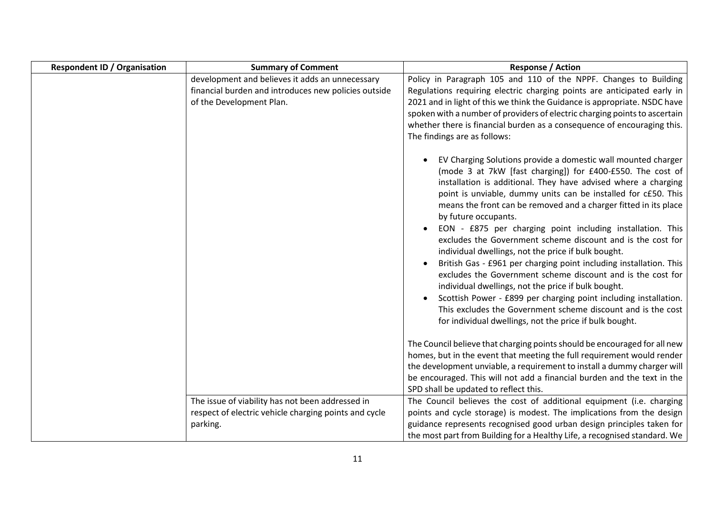| <b>Respondent ID / Organisation</b> | <b>Summary of Comment</b>                                                                                                           | <b>Response / Action</b>                                                                                                                                                                                                                                                                                                                                                                                                                                                                                                                                                                                                                                                                                                                                                                                                                                                                                                                                |
|-------------------------------------|-------------------------------------------------------------------------------------------------------------------------------------|---------------------------------------------------------------------------------------------------------------------------------------------------------------------------------------------------------------------------------------------------------------------------------------------------------------------------------------------------------------------------------------------------------------------------------------------------------------------------------------------------------------------------------------------------------------------------------------------------------------------------------------------------------------------------------------------------------------------------------------------------------------------------------------------------------------------------------------------------------------------------------------------------------------------------------------------------------|
|                                     | development and believes it adds an unnecessary<br>financial burden and introduces new policies outside<br>of the Development Plan. | Policy in Paragraph 105 and 110 of the NPPF. Changes to Building<br>Regulations requiring electric charging points are anticipated early in<br>2021 and in light of this we think the Guidance is appropriate. NSDC have<br>spoken with a number of providers of electric charging points to ascertain<br>whether there is financial burden as a consequence of encouraging this.<br>The findings are as follows:                                                                                                                                                                                                                                                                                                                                                                                                                                                                                                                                       |
|                                     |                                                                                                                                     | EV Charging Solutions provide a domestic wall mounted charger<br>(mode 3 at 7kW [fast charging]) for £400-£550. The cost of<br>installation is additional. They have advised where a charging<br>point is unviable, dummy units can be installed for c£50. This<br>means the front can be removed and a charger fitted in its place<br>by future occupants.<br>EON - £875 per charging point including installation. This<br>excludes the Government scheme discount and is the cost for<br>individual dwellings, not the price if bulk bought.<br>British Gas - £961 per charging point including installation. This<br>$\bullet$<br>excludes the Government scheme discount and is the cost for<br>individual dwellings, not the price if bulk bought.<br>Scottish Power - £899 per charging point including installation.<br>This excludes the Government scheme discount and is the cost<br>for individual dwellings, not the price if bulk bought. |
|                                     |                                                                                                                                     | The Council believe that charging points should be encouraged for all new<br>homes, but in the event that meeting the full requirement would render<br>the development unviable, a requirement to install a dummy charger will<br>be encouraged. This will not add a financial burden and the text in the<br>SPD shall be updated to reflect this.                                                                                                                                                                                                                                                                                                                                                                                                                                                                                                                                                                                                      |
|                                     | The issue of viability has not been addressed in<br>respect of electric vehicle charging points and cycle<br>parking.               | The Council believes the cost of additional equipment (i.e. charging<br>points and cycle storage) is modest. The implications from the design<br>guidance represents recognised good urban design principles taken for<br>the most part from Building for a Healthy Life, a recognised standard. We                                                                                                                                                                                                                                                                                                                                                                                                                                                                                                                                                                                                                                                     |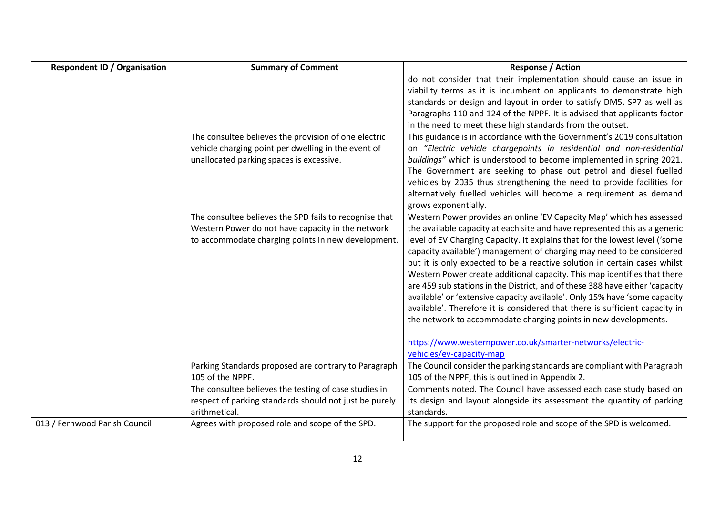| <b>Respondent ID / Organisation</b> | <b>Summary of Comment</b>                                                                                                                                         | <b>Response / Action</b>                                                                                                                                                                                                                                                                                                                                                                                                                                                                                                                                                                                                                                                                                                                                                                                                                                                      |
|-------------------------------------|-------------------------------------------------------------------------------------------------------------------------------------------------------------------|-------------------------------------------------------------------------------------------------------------------------------------------------------------------------------------------------------------------------------------------------------------------------------------------------------------------------------------------------------------------------------------------------------------------------------------------------------------------------------------------------------------------------------------------------------------------------------------------------------------------------------------------------------------------------------------------------------------------------------------------------------------------------------------------------------------------------------------------------------------------------------|
|                                     |                                                                                                                                                                   | do not consider that their implementation should cause an issue in<br>viability terms as it is incumbent on applicants to demonstrate high<br>standards or design and layout in order to satisfy DM5, SP7 as well as<br>Paragraphs 110 and 124 of the NPPF. It is advised that applicants factor<br>in the need to meet these high standards from the outset.                                                                                                                                                                                                                                                                                                                                                                                                                                                                                                                 |
|                                     | The consultee believes the provision of one electric<br>vehicle charging point per dwelling in the event of<br>unallocated parking spaces is excessive.           | This guidance is in accordance with the Government's 2019 consultation<br>on "Electric vehicle chargepoints in residential and non-residential<br>buildings" which is understood to become implemented in spring 2021.<br>The Government are seeking to phase out petrol and diesel fuelled<br>vehicles by 2035 thus strengthening the need to provide facilities for<br>alternatively fuelled vehicles will become a requirement as demand<br>grows exponentially.                                                                                                                                                                                                                                                                                                                                                                                                           |
|                                     | The consultee believes the SPD fails to recognise that<br>Western Power do not have capacity in the network<br>to accommodate charging points in new development. | Western Power provides an online 'EV Capacity Map' which has assessed<br>the available capacity at each site and have represented this as a generic<br>level of EV Charging Capacity. It explains that for the lowest level ('some<br>capacity available') management of charging may need to be considered<br>but it is only expected to be a reactive solution in certain cases whilst<br>Western Power create additional capacity. This map identifies that there<br>are 459 sub stations in the District, and of these 388 have either 'capacity<br>available' or 'extensive capacity available'. Only 15% have 'some capacity<br>available'. Therefore it is considered that there is sufficient capacity in<br>the network to accommodate charging points in new developments.<br>https://www.westernpower.co.uk/smarter-networks/electric-<br>vehicles/ev-capacity-map |
|                                     | Parking Standards proposed are contrary to Paragraph<br>105 of the NPPF.                                                                                          | The Council consider the parking standards are compliant with Paragraph<br>105 of the NPPF, this is outlined in Appendix 2.                                                                                                                                                                                                                                                                                                                                                                                                                                                                                                                                                                                                                                                                                                                                                   |
|                                     | The consultee believes the testing of case studies in<br>respect of parking standards should not just be purely<br>arithmetical.                                  | Comments noted. The Council have assessed each case study based on<br>its design and layout alongside its assessment the quantity of parking<br>standards.                                                                                                                                                                                                                                                                                                                                                                                                                                                                                                                                                                                                                                                                                                                    |
| 013 / Fernwood Parish Council       | Agrees with proposed role and scope of the SPD.                                                                                                                   | The support for the proposed role and scope of the SPD is welcomed.                                                                                                                                                                                                                                                                                                                                                                                                                                                                                                                                                                                                                                                                                                                                                                                                           |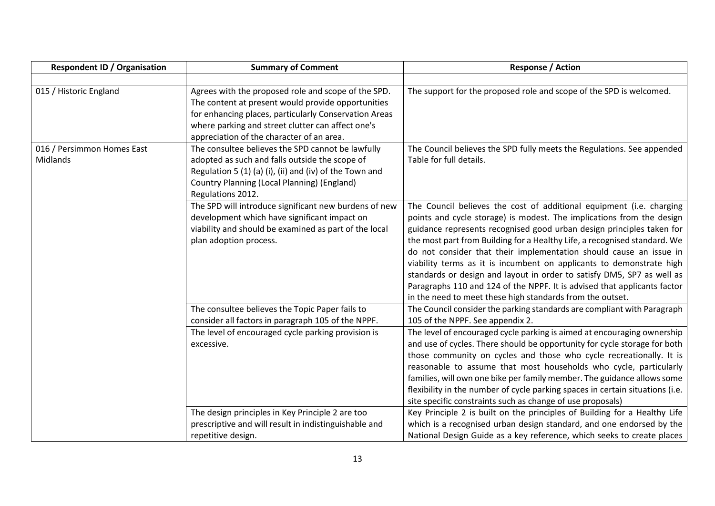| <b>Respondent ID / Organisation</b>    | <b>Summary of Comment</b>                                                                                                                                                                                                                                            | <b>Response / Action</b>                                                                                                                                                                                                                                                                                                                                                                                                                                                                                                                                                                                                                                             |
|----------------------------------------|----------------------------------------------------------------------------------------------------------------------------------------------------------------------------------------------------------------------------------------------------------------------|----------------------------------------------------------------------------------------------------------------------------------------------------------------------------------------------------------------------------------------------------------------------------------------------------------------------------------------------------------------------------------------------------------------------------------------------------------------------------------------------------------------------------------------------------------------------------------------------------------------------------------------------------------------------|
|                                        |                                                                                                                                                                                                                                                                      |                                                                                                                                                                                                                                                                                                                                                                                                                                                                                                                                                                                                                                                                      |
| 015 / Historic England                 | Agrees with the proposed role and scope of the SPD.<br>The content at present would provide opportunities<br>for enhancing places, particularly Conservation Areas<br>where parking and street clutter can affect one's<br>appreciation of the character of an area. | The support for the proposed role and scope of the SPD is welcomed.                                                                                                                                                                                                                                                                                                                                                                                                                                                                                                                                                                                                  |
| 016 / Persimmon Homes East<br>Midlands | The consultee believes the SPD cannot be lawfully<br>adopted as such and falls outside the scope of<br>Regulation 5 (1) (a) (i), (ii) and (iv) of the Town and<br>Country Planning (Local Planning) (England)<br>Regulations 2012.                                   | The Council believes the SPD fully meets the Regulations. See appended<br>Table for full details.                                                                                                                                                                                                                                                                                                                                                                                                                                                                                                                                                                    |
|                                        | The SPD will introduce significant new burdens of new<br>development which have significant impact on<br>viability and should be examined as part of the local<br>plan adoption process.                                                                             | The Council believes the cost of additional equipment (i.e. charging<br>points and cycle storage) is modest. The implications from the design<br>guidance represents recognised good urban design principles taken for<br>the most part from Building for a Healthy Life, a recognised standard. We<br>do not consider that their implementation should cause an issue in<br>viability terms as it is incumbent on applicants to demonstrate high<br>standards or design and layout in order to satisfy DM5, SP7 as well as<br>Paragraphs 110 and 124 of the NPPF. It is advised that applicants factor<br>in the need to meet these high standards from the outset. |
|                                        | The consultee believes the Topic Paper fails to<br>consider all factors in paragraph 105 of the NPPF.                                                                                                                                                                | The Council consider the parking standards are compliant with Paragraph<br>105 of the NPPF. See appendix 2.                                                                                                                                                                                                                                                                                                                                                                                                                                                                                                                                                          |
|                                        | The level of encouraged cycle parking provision is<br>excessive.                                                                                                                                                                                                     | The level of encouraged cycle parking is aimed at encouraging ownership<br>and use of cycles. There should be opportunity for cycle storage for both<br>those community on cycles and those who cycle recreationally. It is<br>reasonable to assume that most households who cycle, particularly<br>families, will own one bike per family member. The guidance allows some<br>flexibility in the number of cycle parking spaces in certain situations (i.e.<br>site specific constraints such as change of use proposals)                                                                                                                                           |
|                                        | The design principles in Key Principle 2 are too<br>prescriptive and will result in indistinguishable and<br>repetitive design.                                                                                                                                      | Key Principle 2 is built on the principles of Building for a Healthy Life<br>which is a recognised urban design standard, and one endorsed by the<br>National Design Guide as a key reference, which seeks to create places                                                                                                                                                                                                                                                                                                                                                                                                                                          |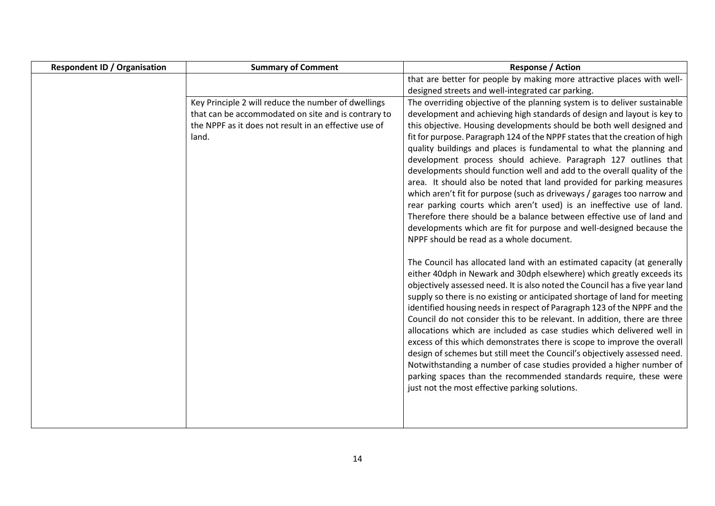| <b>Respondent ID / Organisation</b> | <b>Summary of Comment</b>                             | <b>Response / Action</b>                                                                                         |
|-------------------------------------|-------------------------------------------------------|------------------------------------------------------------------------------------------------------------------|
|                                     |                                                       | that are better for people by making more attractive places with well-                                           |
|                                     |                                                       | designed streets and well-integrated car parking.                                                                |
|                                     | Key Principle 2 will reduce the number of dwellings   | The overriding objective of the planning system is to deliver sustainable                                        |
|                                     | that can be accommodated on site and is contrary to   | development and achieving high standards of design and layout is key to                                          |
|                                     | the NPPF as it does not result in an effective use of | this objective. Housing developments should be both well designed and                                            |
|                                     | land.                                                 | fit for purpose. Paragraph 124 of the NPPF states that the creation of high                                      |
|                                     |                                                       | quality buildings and places is fundamental to what the planning and                                             |
|                                     |                                                       | development process should achieve. Paragraph 127 outlines that                                                  |
|                                     |                                                       | developments should function well and add to the overall quality of the                                          |
|                                     |                                                       | area. It should also be noted that land provided for parking measures                                            |
|                                     |                                                       | which aren't fit for purpose (such as driveways / garages too narrow and                                         |
|                                     |                                                       | rear parking courts which aren't used) is an ineffective use of land.                                            |
|                                     |                                                       | Therefore there should be a balance between effective use of land and                                            |
|                                     |                                                       | developments which are fit for purpose and well-designed because the<br>NPPF should be read as a whole document. |
|                                     |                                                       |                                                                                                                  |
|                                     |                                                       | The Council has allocated land with an estimated capacity (at generally                                          |
|                                     |                                                       | either 40dph in Newark and 30dph elsewhere) which greatly exceeds its                                            |
|                                     |                                                       | objectively assessed need. It is also noted the Council has a five year land                                     |
|                                     |                                                       | supply so there is no existing or anticipated shortage of land for meeting                                       |
|                                     |                                                       | identified housing needs in respect of Paragraph 123 of the NPPF and the                                         |
|                                     |                                                       | Council do not consider this to be relevant. In addition, there are three                                        |
|                                     |                                                       | allocations which are included as case studies which delivered well in                                           |
|                                     |                                                       | excess of this which demonstrates there is scope to improve the overall                                          |
|                                     |                                                       | design of schemes but still meet the Council's objectively assessed need.                                        |
|                                     |                                                       | Notwithstanding a number of case studies provided a higher number of                                             |
|                                     |                                                       | parking spaces than the recommended standards require, these were                                                |
|                                     |                                                       | just not the most effective parking solutions.                                                                   |
|                                     |                                                       |                                                                                                                  |
|                                     |                                                       |                                                                                                                  |
|                                     |                                                       |                                                                                                                  |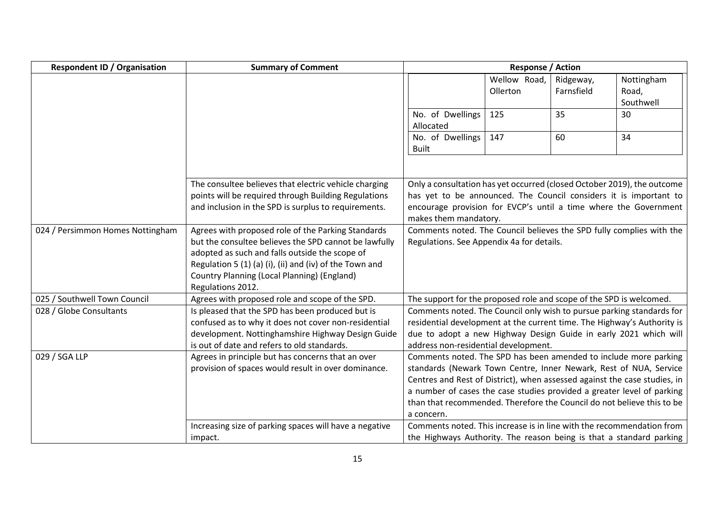| <b>Respondent ID / Organisation</b> | <b>Summary of Comment</b>                                                                                    |                                                                                                                                       | <b>Response / Action</b> |                         |                                                                     |
|-------------------------------------|--------------------------------------------------------------------------------------------------------------|---------------------------------------------------------------------------------------------------------------------------------------|--------------------------|-------------------------|---------------------------------------------------------------------|
|                                     |                                                                                                              |                                                                                                                                       | Wellow Road,<br>Ollerton | Ridgeway,<br>Farnsfield | Nottingham<br>Road,                                                 |
|                                     |                                                                                                              |                                                                                                                                       |                          |                         | Southwell                                                           |
|                                     |                                                                                                              | No. of Dwellings<br>Allocated                                                                                                         | 125                      | 35                      | 30                                                                  |
|                                     |                                                                                                              | No. of Dwellings<br><b>Built</b>                                                                                                      | 147                      | 60                      | 34                                                                  |
|                                     |                                                                                                              |                                                                                                                                       |                          |                         |                                                                     |
|                                     | The consultee believes that electric vehicle charging                                                        | Only a consultation has yet occurred (closed October 2019), the outcome                                                               |                          |                         |                                                                     |
|                                     | points will be required through Building Regulations<br>and inclusion in the SPD is surplus to requirements. | has yet to be announced. The Council considers it is important to<br>encourage provision for EVCP's until a time where the Government |                          |                         |                                                                     |
|                                     |                                                                                                              | makes them mandatory.                                                                                                                 |                          |                         |                                                                     |
| 024 / Persimmon Homes Nottingham    | Agrees with proposed role of the Parking Standards                                                           | Comments noted. The Council believes the SPD fully complies with the                                                                  |                          |                         |                                                                     |
|                                     | but the consultee believes the SPD cannot be lawfully                                                        | Regulations. See Appendix 4a for details.                                                                                             |                          |                         |                                                                     |
|                                     | adopted as such and falls outside the scope of                                                               |                                                                                                                                       |                          |                         |                                                                     |
|                                     | Regulation 5 (1) (a) (i), (ii) and (iv) of the Town and                                                      |                                                                                                                                       |                          |                         |                                                                     |
|                                     | <b>Country Planning (Local Planning) (England)</b><br>Regulations 2012.                                      |                                                                                                                                       |                          |                         |                                                                     |
| 025 / Southwell Town Council        | Agrees with proposed role and scope of the SPD.                                                              | The support for the proposed role and scope of the SPD is welcomed.                                                                   |                          |                         |                                                                     |
| 028 / Globe Consultants             | Is pleased that the SPD has been produced but is                                                             | Comments noted. The Council only wish to pursue parking standards for                                                                 |                          |                         |                                                                     |
|                                     | confused as to why it does not cover non-residential                                                         | residential development at the current time. The Highway's Authority is                                                               |                          |                         |                                                                     |
|                                     | development. Nottinghamshire Highway Design Guide                                                            | due to adopt a new Highway Design Guide in early 2021 which will                                                                      |                          |                         |                                                                     |
|                                     | is out of date and refers to old standards.                                                                  | address non-residential development.                                                                                                  |                          |                         |                                                                     |
| 029 / SGA LLP                       | Agrees in principle but has concerns that an over                                                            | Comments noted. The SPD has been amended to include more parking                                                                      |                          |                         |                                                                     |
|                                     | provision of spaces would result in over dominance.                                                          | standards (Newark Town Centre, Inner Newark, Rest of NUA, Service                                                                     |                          |                         |                                                                     |
|                                     |                                                                                                              | Centres and Rest of District), when assessed against the case studies, in                                                             |                          |                         |                                                                     |
|                                     |                                                                                                              | a number of cases the case studies provided a greater level of parking                                                                |                          |                         |                                                                     |
|                                     |                                                                                                              | than that recommended. Therefore the Council do not believe this to be<br>a concern.                                                  |                          |                         |                                                                     |
|                                     | Increasing size of parking spaces will have a negative                                                       | Comments noted. This increase is in line with the recommendation from                                                                 |                          |                         |                                                                     |
|                                     | impact.                                                                                                      |                                                                                                                                       |                          |                         | the Highways Authority. The reason being is that a standard parking |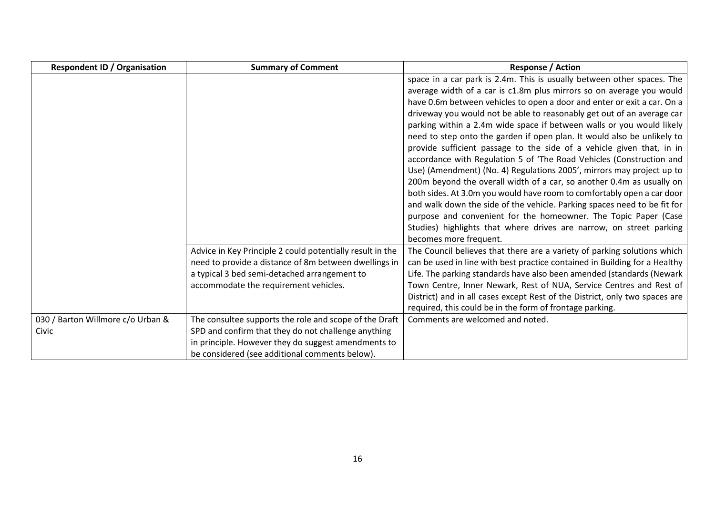| <b>Respondent ID / Organisation</b>        | <b>Summary of Comment</b>                                                                                                                                                                                              | <b>Response / Action</b>                                                                                                                                                                                                                                                                                                                                                                                                                                                                                                                                                                                                                                                                                                                                                                                                                                                                                                                                                                                                                                   |
|--------------------------------------------|------------------------------------------------------------------------------------------------------------------------------------------------------------------------------------------------------------------------|------------------------------------------------------------------------------------------------------------------------------------------------------------------------------------------------------------------------------------------------------------------------------------------------------------------------------------------------------------------------------------------------------------------------------------------------------------------------------------------------------------------------------------------------------------------------------------------------------------------------------------------------------------------------------------------------------------------------------------------------------------------------------------------------------------------------------------------------------------------------------------------------------------------------------------------------------------------------------------------------------------------------------------------------------------|
|                                            |                                                                                                                                                                                                                        | space in a car park is 2.4m. This is usually between other spaces. The<br>average width of a car is c1.8m plus mirrors so on average you would<br>have 0.6m between vehicles to open a door and enter or exit a car. On a<br>driveway you would not be able to reasonably get out of an average car<br>parking within a 2.4m wide space if between walls or you would likely<br>need to step onto the garden if open plan. It would also be unlikely to<br>provide sufficient passage to the side of a vehicle given that, in in<br>accordance with Regulation 5 of 'The Road Vehicles (Construction and<br>Use) (Amendment) (No. 4) Regulations 2005', mirrors may project up to<br>200m beyond the overall width of a car, so another 0.4m as usually on<br>both sides. At 3.0m you would have room to comfortably open a car door<br>and walk down the side of the vehicle. Parking spaces need to be fit for<br>purpose and convenient for the homeowner. The Topic Paper (Case<br>Studies) highlights that where drives are narrow, on street parking |
|                                            | Advice in Key Principle 2 could potentially result in the<br>need to provide a distance of 8m between dwellings in<br>a typical 3 bed semi-detached arrangement to<br>accommodate the requirement vehicles.            | becomes more frequent.<br>The Council believes that there are a variety of parking solutions which<br>can be used in line with best practice contained in Building for a Healthy<br>Life. The parking standards have also been amended (standards (Newark<br>Town Centre, Inner Newark, Rest of NUA, Service Centres and Rest of<br>District) and in all cases except Rest of the District, only two spaces are<br>required, this could be in the form of frontage parking.                                                                                                                                                                                                                                                                                                                                                                                                                                                                                                                                                                                |
| 030 / Barton Willmore c/o Urban &<br>Civic | The consultee supports the role and scope of the Draft<br>SPD and confirm that they do not challenge anything<br>in principle. However they do suggest amendments to<br>be considered (see additional comments below). | Comments are welcomed and noted.                                                                                                                                                                                                                                                                                                                                                                                                                                                                                                                                                                                                                                                                                                                                                                                                                                                                                                                                                                                                                           |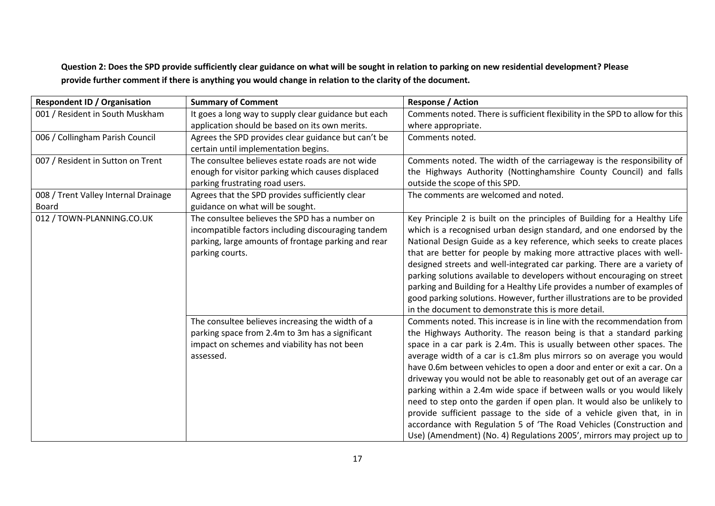**Question 2: Does the SPD provide sufficiently clear guidance on what will be sought in relation to parking on new residential development? Please provide further comment if there is anything you would change in relation to the clarity of the document.**

| <b>Respondent ID / Organisation</b>  | <b>Summary of Comment</b>                            | <b>Response / Action</b>                                                     |
|--------------------------------------|------------------------------------------------------|------------------------------------------------------------------------------|
| 001 / Resident in South Muskham      | It goes a long way to supply clear guidance but each | Comments noted. There is sufficient flexibility in the SPD to allow for this |
|                                      | application should be based on its own merits.       | where appropriate.                                                           |
| 006 / Collingham Parish Council      | Agrees the SPD provides clear guidance but can't be  | Comments noted.                                                              |
|                                      | certain until implementation begins.                 |                                                                              |
| 007 / Resident in Sutton on Trent    | The consultee believes estate roads are not wide     | Comments noted. The width of the carriageway is the responsibility of        |
|                                      | enough for visitor parking which causes displaced    | the Highways Authority (Nottinghamshire County Council) and falls            |
|                                      | parking frustrating road users.                      | outside the scope of this SPD.                                               |
| 008 / Trent Valley Internal Drainage | Agrees that the SPD provides sufficiently clear      | The comments are welcomed and noted.                                         |
| Board                                | guidance on what will be sought.                     |                                                                              |
| 012 / TOWN-PLANNING.CO.UK            | The consultee believes the SPD has a number on       | Key Principle 2 is built on the principles of Building for a Healthy Life    |
|                                      | incompatible factors including discouraging tandem   | which is a recognised urban design standard, and one endorsed by the         |
|                                      | parking, large amounts of frontage parking and rear  | National Design Guide as a key reference, which seeks to create places       |
|                                      | parking courts.                                      | that are better for people by making more attractive places with well-       |
|                                      |                                                      | designed streets and well-integrated car parking. There are a variety of     |
|                                      |                                                      | parking solutions available to developers without encouraging on street      |
|                                      |                                                      | parking and Building for a Healthy Life provides a number of examples of     |
|                                      |                                                      | good parking solutions. However, further illustrations are to be provided    |
|                                      |                                                      | in the document to demonstrate this is more detail.                          |
|                                      | The consultee believes increasing the width of a     | Comments noted. This increase is in line with the recommendation from        |
|                                      | parking space from 2.4m to 3m has a significant      | the Highways Authority. The reason being is that a standard parking          |
|                                      | impact on schemes and viability has not been         | space in a car park is 2.4m. This is usually between other spaces. The       |
|                                      | assessed.                                            | average width of a car is c1.8m plus mirrors so on average you would         |
|                                      |                                                      | have 0.6m between vehicles to open a door and enter or exit a car. On a      |
|                                      |                                                      | driveway you would not be able to reasonably get out of an average car       |
|                                      |                                                      | parking within a 2.4m wide space if between walls or you would likely        |
|                                      |                                                      | need to step onto the garden if open plan. It would also be unlikely to      |
|                                      |                                                      | provide sufficient passage to the side of a vehicle given that, in in        |
|                                      |                                                      | accordance with Regulation 5 of 'The Road Vehicles (Construction and         |
|                                      |                                                      | Use) (Amendment) (No. 4) Regulations 2005', mirrors may project up to        |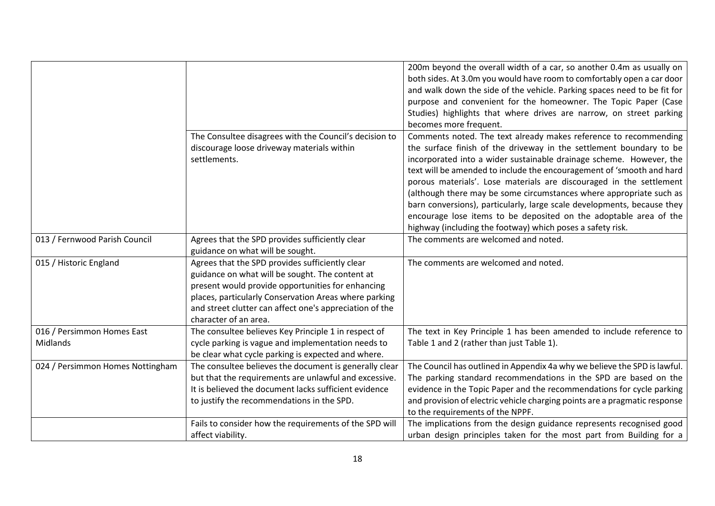|                                        | The Consultee disagrees with the Council's decision to<br>discourage loose driveway materials within<br>settlements.                                                                                                                                                                                 | 200m beyond the overall width of a car, so another 0.4m as usually on<br>both sides. At 3.0m you would have room to comfortably open a car door<br>and walk down the side of the vehicle. Parking spaces need to be fit for<br>purpose and convenient for the homeowner. The Topic Paper (Case<br>Studies) highlights that where drives are narrow, on street parking<br>becomes more frequent.<br>Comments noted. The text already makes reference to recommending<br>the surface finish of the driveway in the settlement boundary to be<br>incorporated into a wider sustainable drainage scheme. However, the<br>text will be amended to include the encouragement of 'smooth and hard<br>porous materials'. Lose materials are discouraged in the settlement<br>(although there may be some circumstances where appropriate such as<br>barn conversions), particularly, large scale developments, because they<br>encourage lose items to be deposited on the adoptable area of the |
|----------------------------------------|------------------------------------------------------------------------------------------------------------------------------------------------------------------------------------------------------------------------------------------------------------------------------------------------------|------------------------------------------------------------------------------------------------------------------------------------------------------------------------------------------------------------------------------------------------------------------------------------------------------------------------------------------------------------------------------------------------------------------------------------------------------------------------------------------------------------------------------------------------------------------------------------------------------------------------------------------------------------------------------------------------------------------------------------------------------------------------------------------------------------------------------------------------------------------------------------------------------------------------------------------------------------------------------------------|
|                                        |                                                                                                                                                                                                                                                                                                      | highway (including the footway) which poses a safety risk.                                                                                                                                                                                                                                                                                                                                                                                                                                                                                                                                                                                                                                                                                                                                                                                                                                                                                                                               |
| 013 / Fernwood Parish Council          | Agrees that the SPD provides sufficiently clear<br>guidance on what will be sought.                                                                                                                                                                                                                  | The comments are welcomed and noted.                                                                                                                                                                                                                                                                                                                                                                                                                                                                                                                                                                                                                                                                                                                                                                                                                                                                                                                                                     |
| 015 / Historic England                 | Agrees that the SPD provides sufficiently clear<br>guidance on what will be sought. The content at<br>present would provide opportunities for enhancing<br>places, particularly Conservation Areas where parking<br>and street clutter can affect one's appreciation of the<br>character of an area. | The comments are welcomed and noted.                                                                                                                                                                                                                                                                                                                                                                                                                                                                                                                                                                                                                                                                                                                                                                                                                                                                                                                                                     |
| 016 / Persimmon Homes East<br>Midlands | The consultee believes Key Principle 1 in respect of<br>cycle parking is vague and implementation needs to<br>be clear what cycle parking is expected and where.                                                                                                                                     | The text in Key Principle 1 has been amended to include reference to<br>Table 1 and 2 (rather than just Table 1).                                                                                                                                                                                                                                                                                                                                                                                                                                                                                                                                                                                                                                                                                                                                                                                                                                                                        |
| 024 / Persimmon Homes Nottingham       | The consultee believes the document is generally clear<br>but that the requirements are unlawful and excessive.<br>It is believed the document lacks sufficient evidence<br>to justify the recommendations in the SPD.                                                                               | The Council has outlined in Appendix 4a why we believe the SPD is lawful.<br>The parking standard recommendations in the SPD are based on the<br>evidence in the Topic Paper and the recommendations for cycle parking<br>and provision of electric vehicle charging points are a pragmatic response<br>to the requirements of the NPPF.                                                                                                                                                                                                                                                                                                                                                                                                                                                                                                                                                                                                                                                 |
|                                        | Fails to consider how the requirements of the SPD will<br>affect viability.                                                                                                                                                                                                                          | The implications from the design guidance represents recognised good<br>urban design principles taken for the most part from Building for a                                                                                                                                                                                                                                                                                                                                                                                                                                                                                                                                                                                                                                                                                                                                                                                                                                              |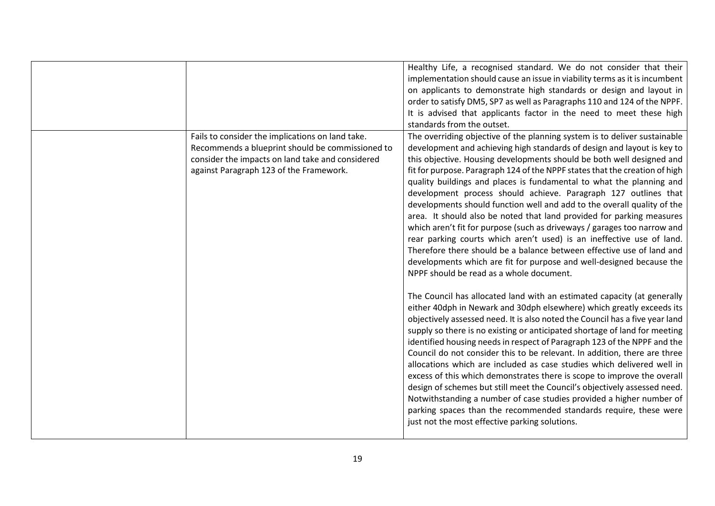|                                                                                                                                                                                                     | Healthy Life, a recognised standard. We do not consider that their<br>implementation should cause an issue in viability terms as it is incumbent<br>on applicants to demonstrate high standards or design and layout in<br>order to satisfy DM5, SP7 as well as Paragraphs 110 and 124 of the NPPF.<br>It is advised that applicants factor in the need to meet these high<br>standards from the outset.                                                                                                                                                                                                                                                                                                                                                                                                                                                                                                                                                                                                                                                                                                                                                                                                                                                                                                                                                                                                                                                                                                                                                                                                                                                                                                                                                                                                                                                                  |
|-----------------------------------------------------------------------------------------------------------------------------------------------------------------------------------------------------|---------------------------------------------------------------------------------------------------------------------------------------------------------------------------------------------------------------------------------------------------------------------------------------------------------------------------------------------------------------------------------------------------------------------------------------------------------------------------------------------------------------------------------------------------------------------------------------------------------------------------------------------------------------------------------------------------------------------------------------------------------------------------------------------------------------------------------------------------------------------------------------------------------------------------------------------------------------------------------------------------------------------------------------------------------------------------------------------------------------------------------------------------------------------------------------------------------------------------------------------------------------------------------------------------------------------------------------------------------------------------------------------------------------------------------------------------------------------------------------------------------------------------------------------------------------------------------------------------------------------------------------------------------------------------------------------------------------------------------------------------------------------------------------------------------------------------------------------------------------------------|
| Fails to consider the implications on land take.<br>Recommends a blueprint should be commissioned to<br>consider the impacts on land take and considered<br>against Paragraph 123 of the Framework. | The overriding objective of the planning system is to deliver sustainable<br>development and achieving high standards of design and layout is key to<br>this objective. Housing developments should be both well designed and<br>fit for purpose. Paragraph 124 of the NPPF states that the creation of high<br>quality buildings and places is fundamental to what the planning and<br>development process should achieve. Paragraph 127 outlines that<br>developments should function well and add to the overall quality of the<br>area. It should also be noted that land provided for parking measures<br>which aren't fit for purpose (such as driveways / garages too narrow and<br>rear parking courts which aren't used) is an ineffective use of land.<br>Therefore there should be a balance between effective use of land and<br>developments which are fit for purpose and well-designed because the<br>NPPF should be read as a whole document.<br>The Council has allocated land with an estimated capacity (at generally<br>either 40dph in Newark and 30dph elsewhere) which greatly exceeds its<br>objectively assessed need. It is also noted the Council has a five year land<br>supply so there is no existing or anticipated shortage of land for meeting<br>identified housing needs in respect of Paragraph 123 of the NPPF and the<br>Council do not consider this to be relevant. In addition, there are three<br>allocations which are included as case studies which delivered well in<br>excess of this which demonstrates there is scope to improve the overall<br>design of schemes but still meet the Council's objectively assessed need.<br>Notwithstanding a number of case studies provided a higher number of<br>parking spaces than the recommended standards require, these were<br>just not the most effective parking solutions. |
|                                                                                                                                                                                                     |                                                                                                                                                                                                                                                                                                                                                                                                                                                                                                                                                                                                                                                                                                                                                                                                                                                                                                                                                                                                                                                                                                                                                                                                                                                                                                                                                                                                                                                                                                                                                                                                                                                                                                                                                                                                                                                                           |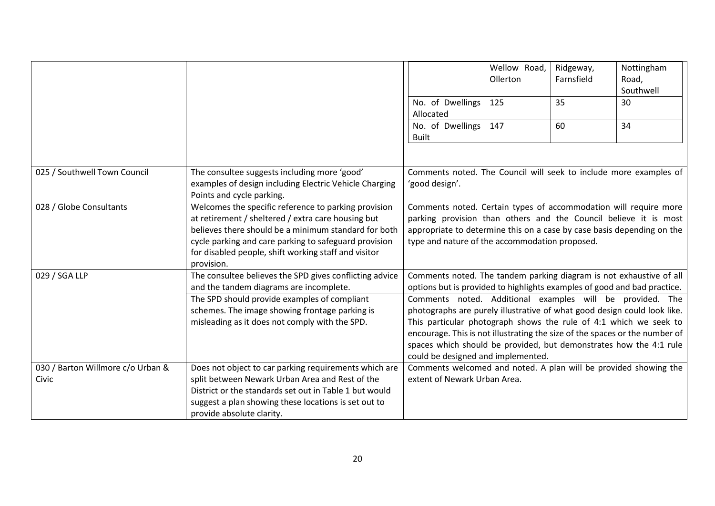|                                            |                                                                                                                                                                                                                                                                                                   |                                                                                                                                                                                                                                                                                                                                                                                                                                                                                                                                                          | Wellow Road,<br>Ollerton | Ridgeway,<br>Farnsfield | Nottingham<br>Road,<br>Southwell |
|--------------------------------------------|---------------------------------------------------------------------------------------------------------------------------------------------------------------------------------------------------------------------------------------------------------------------------------------------------|----------------------------------------------------------------------------------------------------------------------------------------------------------------------------------------------------------------------------------------------------------------------------------------------------------------------------------------------------------------------------------------------------------------------------------------------------------------------------------------------------------------------------------------------------------|--------------------------|-------------------------|----------------------------------|
|                                            |                                                                                                                                                                                                                                                                                                   | No. of Dwellings<br>Allocated                                                                                                                                                                                                                                                                                                                                                                                                                                                                                                                            | 125                      | 35                      | 30                               |
|                                            |                                                                                                                                                                                                                                                                                                   | No. of Dwellings<br><b>Built</b>                                                                                                                                                                                                                                                                                                                                                                                                                                                                                                                         | 147                      | 60                      | 34                               |
| 025 / Southwell Town Council               | The consultee suggests including more 'good'<br>examples of design including Electric Vehicle Charging<br>Points and cycle parking.                                                                                                                                                               | Comments noted. The Council will seek to include more examples of<br>'good design'.                                                                                                                                                                                                                                                                                                                                                                                                                                                                      |                          |                         |                                  |
| 028 / Globe Consultants                    | Welcomes the specific reference to parking provision<br>at retirement / sheltered / extra care housing but<br>believes there should be a minimum standard for both<br>cycle parking and care parking to safeguard provision<br>for disabled people, shift working staff and visitor<br>provision. | Comments noted. Certain types of accommodation will require more<br>parking provision than others and the Council believe it is most<br>appropriate to determine this on a case by case basis depending on the<br>type and nature of the accommodation proposed.                                                                                                                                                                                                                                                                                         |                          |                         |                                  |
| 029 / SGA LLP                              | The consultee believes the SPD gives conflicting advice<br>and the tandem diagrams are incomplete.<br>The SPD should provide examples of compliant<br>schemes. The image showing frontage parking is<br>misleading as it does not comply with the SPD.                                            | Comments noted. The tandem parking diagram is not exhaustive of all<br>options but is provided to highlights examples of good and bad practice.<br>Comments noted. Additional examples will be provided. The<br>photographs are purely illustrative of what good design could look like.<br>This particular photograph shows the rule of 4:1 which we seek to<br>encourage. This is not illustrating the size of the spaces or the number of<br>spaces which should be provided, but demonstrates how the 4:1 rule<br>could be designed and implemented. |                          |                         |                                  |
| 030 / Barton Willmore c/o Urban &<br>Civic | Does not object to car parking requirements which are<br>split between Newark Urban Area and Rest of the<br>District or the standards set out in Table 1 but would<br>suggest a plan showing these locations is set out to<br>provide absolute clarity.                                           | Comments welcomed and noted. A plan will be provided showing the<br>extent of Newark Urban Area.                                                                                                                                                                                                                                                                                                                                                                                                                                                         |                          |                         |                                  |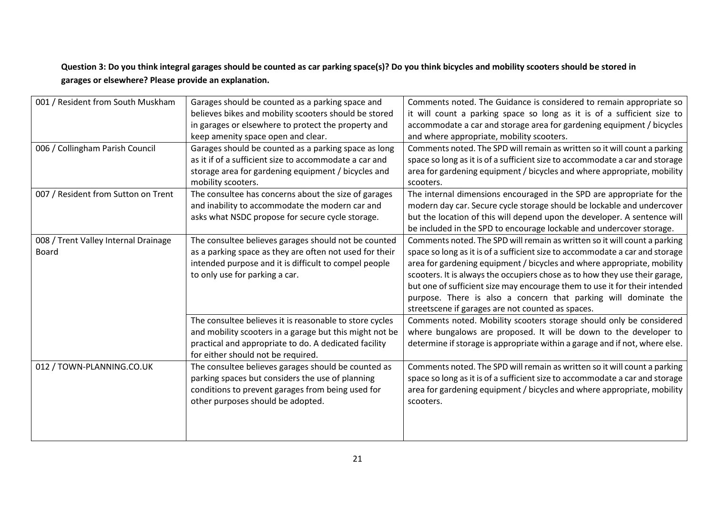### **Question 3: Do you think integral garages should be counted as car parking space(s)? Do you think bicycles and mobility scooters should be stored in garages or elsewhere? Please provide an explanation.**

| 001 / Resident from South Muskham             | Garages should be counted as a parking space and<br>believes bikes and mobility scooters should be stored<br>in garages or elsewhere to protect the property and                                                  | Comments noted. The Guidance is considered to remain appropriate so<br>it will count a parking space so long as it is of a sufficient size to<br>accommodate a car and storage area for gardening equipment / bicycles                                                                                                                                                                                                                                                                                                    |
|-----------------------------------------------|-------------------------------------------------------------------------------------------------------------------------------------------------------------------------------------------------------------------|---------------------------------------------------------------------------------------------------------------------------------------------------------------------------------------------------------------------------------------------------------------------------------------------------------------------------------------------------------------------------------------------------------------------------------------------------------------------------------------------------------------------------|
|                                               | keep amenity space open and clear.                                                                                                                                                                                | and where appropriate, mobility scooters.                                                                                                                                                                                                                                                                                                                                                                                                                                                                                 |
| 006 / Collingham Parish Council               | Garages should be counted as a parking space as long<br>as it if of a sufficient size to accommodate a car and<br>storage area for gardening equipment / bicycles and                                             | Comments noted. The SPD will remain as written so it will count a parking<br>space so long as it is of a sufficient size to accommodate a car and storage<br>area for gardening equipment / bicycles and where appropriate, mobility                                                                                                                                                                                                                                                                                      |
|                                               | mobility scooters.                                                                                                                                                                                                | scooters.                                                                                                                                                                                                                                                                                                                                                                                                                                                                                                                 |
| 007 / Resident from Sutton on Trent           | The consultee has concerns about the size of garages<br>and inability to accommodate the modern car and<br>asks what NSDC propose for secure cycle storage.                                                       | The internal dimensions encouraged in the SPD are appropriate for the<br>modern day car. Secure cycle storage should be lockable and undercover<br>but the location of this will depend upon the developer. A sentence will<br>be included in the SPD to encourage lockable and undercover storage.                                                                                                                                                                                                                       |
| 008 / Trent Valley Internal Drainage<br>Board | The consultee believes garages should not be counted<br>as a parking space as they are often not used for their<br>intended purpose and it is difficult to compel people<br>to only use for parking a car.        | Comments noted. The SPD will remain as written so it will count a parking<br>space so long as it is of a sufficient size to accommodate a car and storage<br>area for gardening equipment / bicycles and where appropriate, mobility<br>scooters. It is always the occupiers chose as to how they use their garage,<br>but one of sufficient size may encourage them to use it for their intended<br>purpose. There is also a concern that parking will dominate the<br>streetscene if garages are not counted as spaces. |
|                                               | The consultee believes it is reasonable to store cycles<br>and mobility scooters in a garage but this might not be<br>practical and appropriate to do. A dedicated facility<br>for either should not be required. | Comments noted. Mobility scooters storage should only be considered<br>where bungalows are proposed. It will be down to the developer to<br>determine if storage is appropriate within a garage and if not, where else.                                                                                                                                                                                                                                                                                                   |
| 012 / TOWN-PLANNING.CO.UK                     | The consultee believes garages should be counted as<br>parking spaces but considers the use of planning<br>conditions to prevent garages from being used for<br>other purposes should be adopted.                 | Comments noted. The SPD will remain as written so it will count a parking<br>space so long as it is of a sufficient size to accommodate a car and storage<br>area for gardening equipment / bicycles and where appropriate, mobility<br>scooters.                                                                                                                                                                                                                                                                         |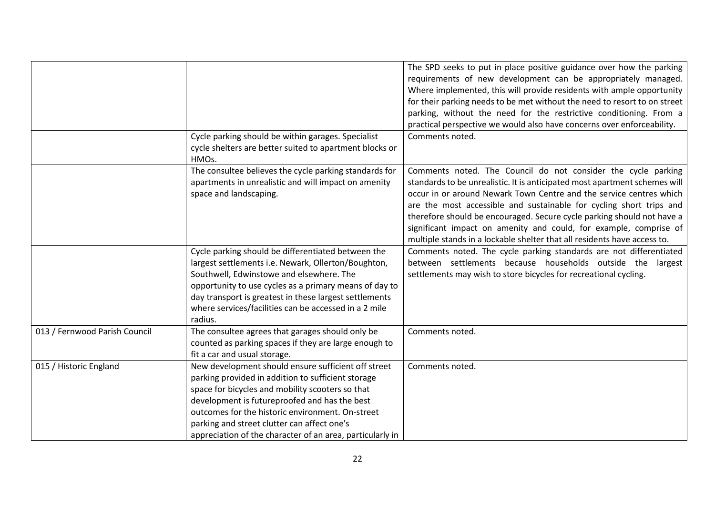|                               |                                                                                                                                                                                                                                                                                                                                                                                | The SPD seeks to put in place positive guidance over how the parking<br>requirements of new development can be appropriately managed.<br>Where implemented, this will provide residents with ample opportunity<br>for their parking needs to be met without the need to resort to on street<br>parking, without the need for the restrictive conditioning. From a<br>practical perspective we would also have concerns over enforceability.                                                                          |
|-------------------------------|--------------------------------------------------------------------------------------------------------------------------------------------------------------------------------------------------------------------------------------------------------------------------------------------------------------------------------------------------------------------------------|----------------------------------------------------------------------------------------------------------------------------------------------------------------------------------------------------------------------------------------------------------------------------------------------------------------------------------------------------------------------------------------------------------------------------------------------------------------------------------------------------------------------|
|                               | Cycle parking should be within garages. Specialist                                                                                                                                                                                                                                                                                                                             | Comments noted.                                                                                                                                                                                                                                                                                                                                                                                                                                                                                                      |
|                               | cycle shelters are better suited to apartment blocks or<br>HMOs.                                                                                                                                                                                                                                                                                                               |                                                                                                                                                                                                                                                                                                                                                                                                                                                                                                                      |
|                               | The consultee believes the cycle parking standards for<br>apartments in unrealistic and will impact on amenity<br>space and landscaping.                                                                                                                                                                                                                                       | Comments noted. The Council do not consider the cycle parking<br>standards to be unrealistic. It is anticipated most apartment schemes will<br>occur in or around Newark Town Centre and the service centres which<br>are the most accessible and sustainable for cycling short trips and<br>therefore should be encouraged. Secure cycle parking should not have a<br>significant impact on amenity and could, for example, comprise of<br>multiple stands in a lockable shelter that all residents have access to. |
|                               | Cycle parking should be differentiated between the<br>largest settlements i.e. Newark, Ollerton/Boughton,<br>Southwell, Edwinstowe and elsewhere. The<br>opportunity to use cycles as a primary means of day to<br>day transport is greatest in these largest settlements<br>where services/facilities can be accessed in a 2 mile<br>radius.                                  | Comments noted. The cycle parking standards are not differentiated<br>between settlements because households outside the<br>largest<br>settlements may wish to store bicycles for recreational cycling.                                                                                                                                                                                                                                                                                                              |
| 013 / Fernwood Parish Council | The consultee agrees that garages should only be<br>counted as parking spaces if they are large enough to<br>fit a car and usual storage.                                                                                                                                                                                                                                      | Comments noted.                                                                                                                                                                                                                                                                                                                                                                                                                                                                                                      |
| 015 / Historic England        | New development should ensure sufficient off street<br>parking provided in addition to sufficient storage<br>space for bicycles and mobility scooters so that<br>development is futureproofed and has the best<br>outcomes for the historic environment. On-street<br>parking and street clutter can affect one's<br>appreciation of the character of an area, particularly in | Comments noted.                                                                                                                                                                                                                                                                                                                                                                                                                                                                                                      |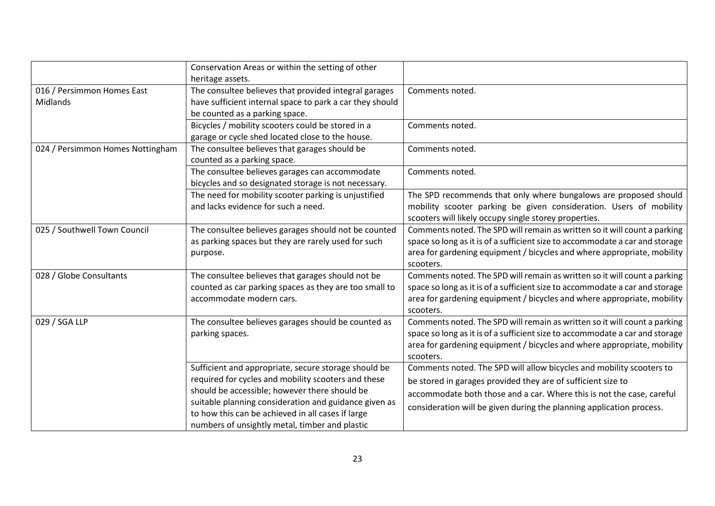|                                  | Conservation Areas or within the setting of other        |                                                                              |
|----------------------------------|----------------------------------------------------------|------------------------------------------------------------------------------|
|                                  | heritage assets.                                         |                                                                              |
| 016 / Persimmon Homes East       | The consultee believes that provided integral garages    | Comments noted.                                                              |
| <b>Midlands</b>                  | have sufficient internal space to park a car they should |                                                                              |
|                                  | be counted as a parking space.                           |                                                                              |
|                                  | Bicycles / mobility scooters could be stored in a        | Comments noted.                                                              |
|                                  | garage or cycle shed located close to the house.         |                                                                              |
| 024 / Persimmon Homes Nottingham | The consultee believes that garages should be            | Comments noted.                                                              |
|                                  | counted as a parking space.                              |                                                                              |
|                                  | The consultee believes garages can accommodate           | Comments noted.                                                              |
|                                  | bicycles and so designated storage is not necessary.     |                                                                              |
|                                  | The need for mobility scooter parking is unjustified     | The SPD recommends that only where bungalows are proposed should             |
|                                  | and lacks evidence for such a need.                      | mobility scooter parking be given consideration. Users of mobility           |
|                                  |                                                          | scooters will likely occupy single storey properties.                        |
| 025 / Southwell Town Council     | The consultee believes garages should not be counted     | Comments noted. The SPD will remain as written so it will count a parking    |
|                                  | as parking spaces but they are rarely used for such      | space so long as it is of a sufficient size to accommodate a car and storage |
|                                  | purpose.                                                 | area for gardening equipment / bicycles and where appropriate, mobility      |
|                                  |                                                          | scooters.                                                                    |
| 028 / Globe Consultants          | The consultee believes that garages should not be        | Comments noted. The SPD will remain as written so it will count a parking    |
|                                  | counted as car parking spaces as they are too small to   | space so long as it is of a sufficient size to accommodate a car and storage |
|                                  | accommodate modern cars.                                 | area for gardening equipment / bicycles and where appropriate, mobility      |
|                                  |                                                          | scooters.                                                                    |
| 029 / SGA LLP                    | The consultee believes garages should be counted as      | Comments noted. The SPD will remain as written so it will count a parking    |
|                                  | parking spaces.                                          | space so long as it is of a sufficient size to accommodate a car and storage |
|                                  |                                                          | area for gardening equipment / bicycles and where appropriate, mobility      |
|                                  |                                                          | scooters.                                                                    |
|                                  | Sufficient and appropriate, secure storage should be     | Comments noted. The SPD will allow bicycles and mobility scooters to         |
|                                  | required for cycles and mobility scooters and these      | be stored in garages provided they are of sufficient size to                 |
|                                  | should be accessible; however there should be            | accommodate both those and a car. Where this is not the case, careful        |
|                                  | suitable planning consideration and guidance given as    | consideration will be given during the planning application process.         |
|                                  | to how this can be achieved in all cases if large        |                                                                              |
|                                  | numbers of unsightly metal, timber and plastic           |                                                                              |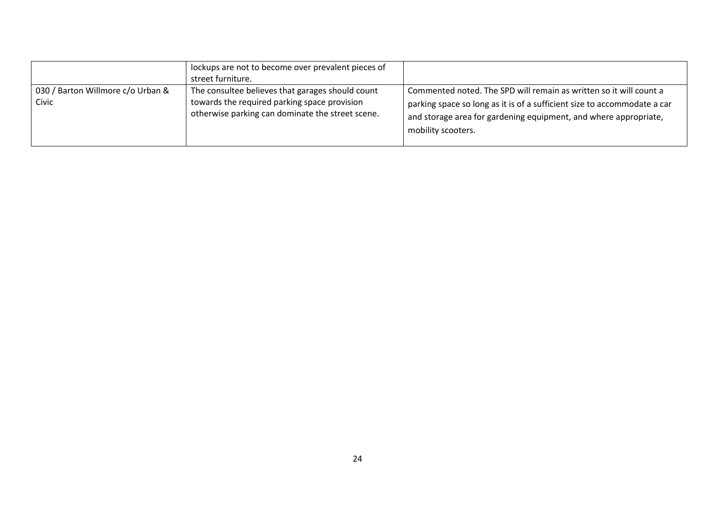|                                            | lockups are not to become over prevalent pieces of<br>street furniture.                                                                              |                                                                                                                                                                                                                                          |
|--------------------------------------------|------------------------------------------------------------------------------------------------------------------------------------------------------|------------------------------------------------------------------------------------------------------------------------------------------------------------------------------------------------------------------------------------------|
| 030 / Barton Willmore c/o Urban &<br>Civic | The consultee believes that garages should count<br>towards the required parking space provision<br>otherwise parking can dominate the street scene. | Commented noted. The SPD will remain as written so it will count a<br>parking space so long as it is of a sufficient size to accommodate a car<br>and storage area for gardening equipment, and where appropriate,<br>mobility scooters. |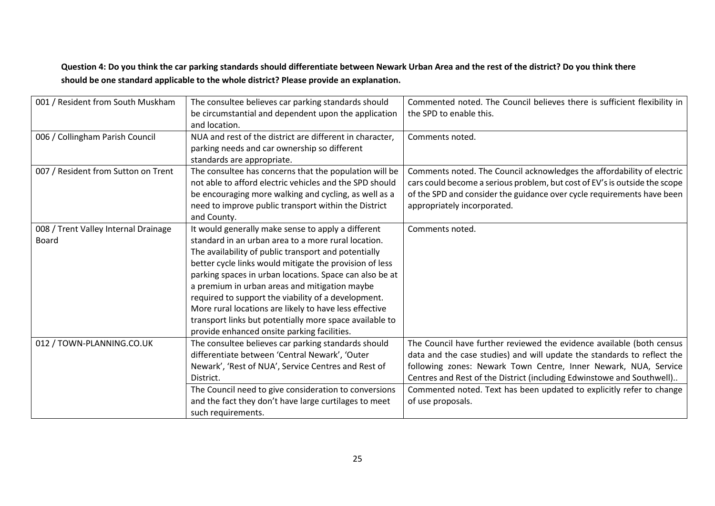### **Question 4: Do you think the car parking standards should differentiate between Newark Urban Area and the rest of the district? Do you think there should be one standard applicable to the whole district? Please provide an explanation.**

| 001 / Resident from South Muskham    | The consultee believes car parking standards should      | Commented noted. The Council believes there is sufficient flexibility in   |
|--------------------------------------|----------------------------------------------------------|----------------------------------------------------------------------------|
|                                      | be circumstantial and dependent upon the application     | the SPD to enable this.                                                    |
|                                      | and location.                                            |                                                                            |
| 006 / Collingham Parish Council      | NUA and rest of the district are different in character, | Comments noted.                                                            |
|                                      | parking needs and car ownership so different             |                                                                            |
|                                      | standards are appropriate.                               |                                                                            |
| 007 / Resident from Sutton on Trent  | The consultee has concerns that the population will be   | Comments noted. The Council acknowledges the affordability of electric     |
|                                      | not able to afford electric vehicles and the SPD should  | cars could become a serious problem, but cost of EV's is outside the scope |
|                                      | be encouraging more walking and cycling, as well as a    | of the SPD and consider the guidance over cycle requirements have been     |
|                                      | need to improve public transport within the District     | appropriately incorporated.                                                |
|                                      | and County.                                              |                                                                            |
| 008 / Trent Valley Internal Drainage | It would generally make sense to apply a different       | Comments noted.                                                            |
| <b>Board</b>                         | standard in an urban area to a more rural location.      |                                                                            |
|                                      | The availability of public transport and potentially     |                                                                            |
|                                      | better cycle links would mitigate the provision of less  |                                                                            |
|                                      | parking spaces in urban locations. Space can also be at  |                                                                            |
|                                      | a premium in urban areas and mitigation maybe            |                                                                            |
|                                      | required to support the viability of a development.      |                                                                            |
|                                      | More rural locations are likely to have less effective   |                                                                            |
|                                      | transport links but potentially more space available to  |                                                                            |
|                                      | provide enhanced onsite parking facilities.              |                                                                            |
| 012 / TOWN-PLANNING.CO.UK            | The consultee believes car parking standards should      | The Council have further reviewed the evidence available (both census      |
|                                      | differentiate between 'Central Newark', 'Outer           | data and the case studies) and will update the standards to reflect the    |
|                                      | Newark', 'Rest of NUA', Service Centres and Rest of      | following zones: Newark Town Centre, Inner Newark, NUA, Service            |
|                                      | District.                                                | Centres and Rest of the District (including Edwinstowe and Southwell)      |
|                                      | The Council need to give consideration to conversions    | Commented noted. Text has been updated to explicitly refer to change       |
|                                      | and the fact they don't have large curtilages to meet    | of use proposals.                                                          |
|                                      | such requirements.                                       |                                                                            |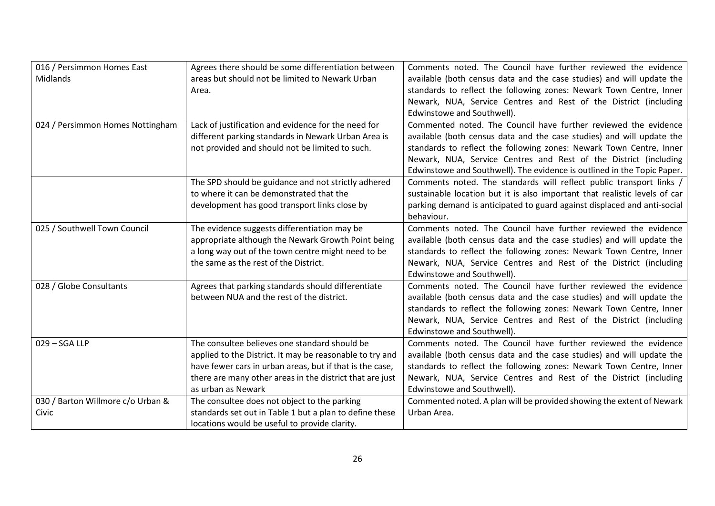| 016 / Persimmon Homes East                 | Agrees there should be some differentiation between                                                                                                                                                                                                                                                                                                                | Comments noted. The Council have further reviewed the evidence                                                                                                                                                                                                                                                                         |
|--------------------------------------------|--------------------------------------------------------------------------------------------------------------------------------------------------------------------------------------------------------------------------------------------------------------------------------------------------------------------------------------------------------------------|----------------------------------------------------------------------------------------------------------------------------------------------------------------------------------------------------------------------------------------------------------------------------------------------------------------------------------------|
| Midlands                                   | areas but should not be limited to Newark Urban                                                                                                                                                                                                                                                                                                                    | available (both census data and the case studies) and will update the                                                                                                                                                                                                                                                                  |
|                                            | Area.                                                                                                                                                                                                                                                                                                                                                              | standards to reflect the following zones: Newark Town Centre, Inner                                                                                                                                                                                                                                                                    |
|                                            |                                                                                                                                                                                                                                                                                                                                                                    | Newark, NUA, Service Centres and Rest of the District (including                                                                                                                                                                                                                                                                       |
|                                            |                                                                                                                                                                                                                                                                                                                                                                    | Edwinstowe and Southwell).                                                                                                                                                                                                                                                                                                             |
| 024 / Persimmon Homes Nottingham           | Lack of justification and evidence for the need for                                                                                                                                                                                                                                                                                                                | Commented noted. The Council have further reviewed the evidence                                                                                                                                                                                                                                                                        |
|                                            | different parking standards in Newark Urban Area is                                                                                                                                                                                                                                                                                                                | available (both census data and the case studies) and will update the                                                                                                                                                                                                                                                                  |
|                                            | not provided and should not be limited to such.                                                                                                                                                                                                                                                                                                                    | standards to reflect the following zones: Newark Town Centre, Inner                                                                                                                                                                                                                                                                    |
|                                            |                                                                                                                                                                                                                                                                                                                                                                    | Newark, NUA, Service Centres and Rest of the District (including                                                                                                                                                                                                                                                                       |
|                                            |                                                                                                                                                                                                                                                                                                                                                                    | Edwinstowe and Southwell). The evidence is outlined in the Topic Paper.                                                                                                                                                                                                                                                                |
|                                            | The SPD should be guidance and not strictly adhered                                                                                                                                                                                                                                                                                                                | Comments noted. The standards will reflect public transport links /                                                                                                                                                                                                                                                                    |
|                                            | to where it can be demonstrated that the                                                                                                                                                                                                                                                                                                                           | sustainable location but it is also important that realistic levels of car                                                                                                                                                                                                                                                             |
|                                            | development has good transport links close by                                                                                                                                                                                                                                                                                                                      | parking demand is anticipated to guard against displaced and anti-social                                                                                                                                                                                                                                                               |
|                                            |                                                                                                                                                                                                                                                                                                                                                                    | behaviour.                                                                                                                                                                                                                                                                                                                             |
| 025 / Southwell Town Council               | The evidence suggests differentiation may be                                                                                                                                                                                                                                                                                                                       | Comments noted. The Council have further reviewed the evidence                                                                                                                                                                                                                                                                         |
|                                            | appropriate although the Newark Growth Point being                                                                                                                                                                                                                                                                                                                 | available (both census data and the case studies) and will update the                                                                                                                                                                                                                                                                  |
|                                            | a long way out of the town centre might need to be                                                                                                                                                                                                                                                                                                                 | standards to reflect the following zones: Newark Town Centre, Inner                                                                                                                                                                                                                                                                    |
|                                            | the same as the rest of the District.                                                                                                                                                                                                                                                                                                                              | Newark, NUA, Service Centres and Rest of the District (including                                                                                                                                                                                                                                                                       |
|                                            |                                                                                                                                                                                                                                                                                                                                                                    | Edwinstowe and Southwell).                                                                                                                                                                                                                                                                                                             |
| 028 / Globe Consultants                    | Agrees that parking standards should differentiate                                                                                                                                                                                                                                                                                                                 | Comments noted. The Council have further reviewed the evidence                                                                                                                                                                                                                                                                         |
|                                            | between NUA and the rest of the district.                                                                                                                                                                                                                                                                                                                          | available (both census data and the case studies) and will update the                                                                                                                                                                                                                                                                  |
|                                            |                                                                                                                                                                                                                                                                                                                                                                    | standards to reflect the following zones: Newark Town Centre, Inner                                                                                                                                                                                                                                                                    |
|                                            |                                                                                                                                                                                                                                                                                                                                                                    | Newark, NUA, Service Centres and Rest of the District (including                                                                                                                                                                                                                                                                       |
|                                            |                                                                                                                                                                                                                                                                                                                                                                    | Edwinstowe and Southwell).                                                                                                                                                                                                                                                                                                             |
| 029 - SGA LLP                              | The consultee believes one standard should be                                                                                                                                                                                                                                                                                                                      | Comments noted. The Council have further reviewed the evidence                                                                                                                                                                                                                                                                         |
|                                            |                                                                                                                                                                                                                                                                                                                                                                    |                                                                                                                                                                                                                                                                                                                                        |
|                                            |                                                                                                                                                                                                                                                                                                                                                                    |                                                                                                                                                                                                                                                                                                                                        |
|                                            |                                                                                                                                                                                                                                                                                                                                                                    |                                                                                                                                                                                                                                                                                                                                        |
|                                            |                                                                                                                                                                                                                                                                                                                                                                    |                                                                                                                                                                                                                                                                                                                                        |
|                                            |                                                                                                                                                                                                                                                                                                                                                                    |                                                                                                                                                                                                                                                                                                                                        |
|                                            |                                                                                                                                                                                                                                                                                                                                                                    |                                                                                                                                                                                                                                                                                                                                        |
| 030 / Barton Willmore c/o Urban &<br>Civic | applied to the District. It may be reasonable to try and<br>have fewer cars in urban areas, but if that is the case,<br>there are many other areas in the district that are just<br>as urban as Newark<br>The consultee does not object to the parking<br>standards set out in Table 1 but a plan to define these<br>locations would be useful to provide clarity. | available (both census data and the case studies) and will update the<br>standards to reflect the following zones: Newark Town Centre, Inner<br>Newark, NUA, Service Centres and Rest of the District (including<br>Edwinstowe and Southwell).<br>Commented noted. A plan will be provided showing the extent of Newark<br>Urban Area. |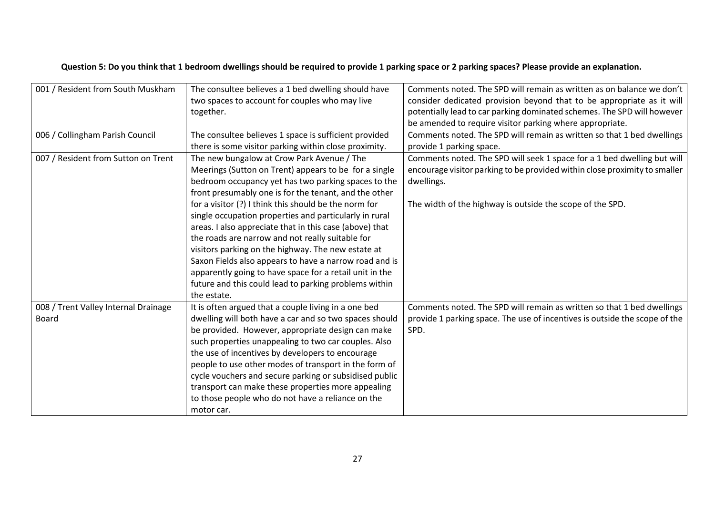| Question 5: Do you think that 1 bedroom dwellings should be required to provide 1 parking space or 2 parking spaces? Please provide an explanation. |  |  |  |
|-----------------------------------------------------------------------------------------------------------------------------------------------------|--|--|--|
|-----------------------------------------------------------------------------------------------------------------------------------------------------|--|--|--|

| 001 / Resident from South Muskham    | The consultee believes a 1 bed dwelling should have     | Comments noted. The SPD will remain as written as on balance we don't      |
|--------------------------------------|---------------------------------------------------------|----------------------------------------------------------------------------|
|                                      | two spaces to account for couples who may live          | consider dedicated provision beyond that to be appropriate as it will      |
|                                      | together.                                               | potentially lead to car parking dominated schemes. The SPD will however    |
|                                      |                                                         | be amended to require visitor parking where appropriate.                   |
| 006 / Collingham Parish Council      | The consultee believes 1 space is sufficient provided   | Comments noted. The SPD will remain as written so that 1 bed dwellings     |
|                                      | there is some visitor parking within close proximity.   | provide 1 parking space.                                                   |
| 007 / Resident from Sutton on Trent  | The new bungalow at Crow Park Avenue / The              | Comments noted. The SPD will seek 1 space for a 1 bed dwelling but will    |
|                                      | Meerings (Sutton on Trent) appears to be for a single   | encourage visitor parking to be provided within close proximity to smaller |
|                                      | bedroom occupancy yet has two parking spaces to the     | dwellings.                                                                 |
|                                      | front presumably one is for the tenant, and the other   |                                                                            |
|                                      | for a visitor (?) I think this should be the norm for   | The width of the highway is outside the scope of the SPD.                  |
|                                      | single occupation properties and particularly in rural  |                                                                            |
|                                      | areas. I also appreciate that in this case (above) that |                                                                            |
|                                      | the roads are narrow and not really suitable for        |                                                                            |
|                                      | visitors parking on the highway. The new estate at      |                                                                            |
|                                      | Saxon Fields also appears to have a narrow road and is  |                                                                            |
|                                      | apparently going to have space for a retail unit in the |                                                                            |
|                                      | future and this could lead to parking problems within   |                                                                            |
|                                      | the estate.                                             |                                                                            |
| 008 / Trent Valley Internal Drainage | It is often argued that a couple living in a one bed    | Comments noted. The SPD will remain as written so that 1 bed dwellings     |
| <b>Board</b>                         | dwelling will both have a car and so two spaces should  | provide 1 parking space. The use of incentives is outside the scope of the |
|                                      | be provided. However, appropriate design can make       | SPD.                                                                       |
|                                      | such properties unappealing to two car couples. Also    |                                                                            |
|                                      | the use of incentives by developers to encourage        |                                                                            |
|                                      | people to use other modes of transport in the form of   |                                                                            |
|                                      | cycle vouchers and secure parking or subsidised public  |                                                                            |
|                                      | transport can make these properties more appealing      |                                                                            |
|                                      | to those people who do not have a reliance on the       |                                                                            |
|                                      | motor car.                                              |                                                                            |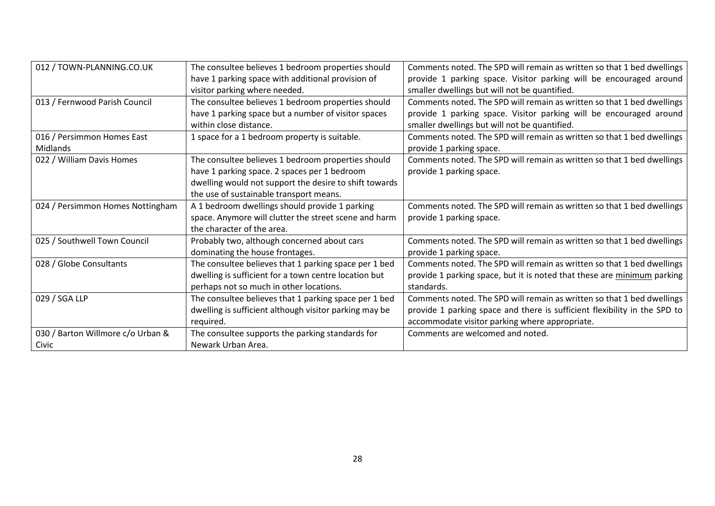| 012 / TOWN-PLANNING.CO.UK         | The consultee believes 1 bedroom properties should     | Comments noted. The SPD will remain as written so that 1 bed dwellings    |
|-----------------------------------|--------------------------------------------------------|---------------------------------------------------------------------------|
|                                   | have 1 parking space with additional provision of      | provide 1 parking space. Visitor parking will be encouraged around        |
|                                   | visitor parking where needed.                          | smaller dwellings but will not be quantified.                             |
| 013 / Fernwood Parish Council     | The consultee believes 1 bedroom properties should     | Comments noted. The SPD will remain as written so that 1 bed dwellings    |
|                                   | have 1 parking space but a number of visitor spaces    | provide 1 parking space. Visitor parking will be encouraged around        |
|                                   | within close distance.                                 | smaller dwellings but will not be quantified.                             |
| 016 / Persimmon Homes East        | 1 space for a 1 bedroom property is suitable.          | Comments noted. The SPD will remain as written so that 1 bed dwellings    |
| Midlands                          |                                                        | provide 1 parking space.                                                  |
| 022 / William Davis Homes         | The consultee believes 1 bedroom properties should     | Comments noted. The SPD will remain as written so that 1 bed dwellings    |
|                                   | have 1 parking space. 2 spaces per 1 bedroom           | provide 1 parking space.                                                  |
|                                   | dwelling would not support the desire to shift towards |                                                                           |
|                                   | the use of sustainable transport means.                |                                                                           |
| 024 / Persimmon Homes Nottingham  | A 1 bedroom dwellings should provide 1 parking         | Comments noted. The SPD will remain as written so that 1 bed dwellings    |
|                                   | space. Anymore will clutter the street scene and harm  | provide 1 parking space.                                                  |
|                                   | the character of the area.                             |                                                                           |
| 025 / Southwell Town Council      | Probably two, although concerned about cars            | Comments noted. The SPD will remain as written so that 1 bed dwellings    |
|                                   | dominating the house frontages.                        | provide 1 parking space.                                                  |
| 028 / Globe Consultants           | The consultee believes that 1 parking space per 1 bed  | Comments noted. The SPD will remain as written so that 1 bed dwellings    |
|                                   | dwelling is sufficient for a town centre location but  | provide 1 parking space, but it is noted that these are minimum parking   |
|                                   | perhaps not so much in other locations.                | standards.                                                                |
| 029 / SGA LLP                     | The consultee believes that 1 parking space per 1 bed  | Comments noted. The SPD will remain as written so that 1 bed dwellings    |
|                                   | dwelling is sufficient although visitor parking may be | provide 1 parking space and there is sufficient flexibility in the SPD to |
|                                   | required.                                              | accommodate visitor parking where appropriate.                            |
| 030 / Barton Willmore c/o Urban & | The consultee supports the parking standards for       | Comments are welcomed and noted.                                          |
| Civic                             | Newark Urban Area.                                     |                                                                           |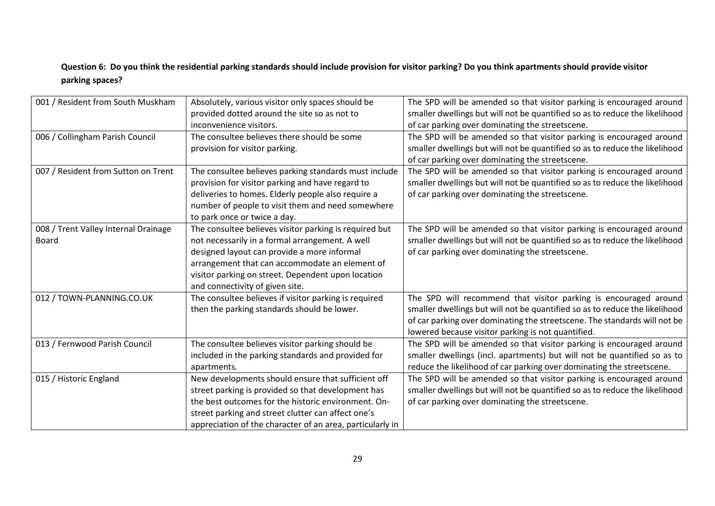### **Question 6: Do you think the residential parking standards should include provision for visitor parking? Do you think apartments should provide visitor parking spaces?**

| 001 / Resident from South Muskham    | Absolutely, various visitor only spaces should be         | The SPD will be amended so that visitor parking is encouraged around        |
|--------------------------------------|-----------------------------------------------------------|-----------------------------------------------------------------------------|
|                                      | provided dotted around the site so as not to              | smaller dwellings but will not be quantified so as to reduce the likelihood |
|                                      | inconvenience visitors.                                   | of car parking over dominating the streetscene.                             |
| 006 / Collingham Parish Council      | The consultee believes there should be some               | The SPD will be amended so that visitor parking is encouraged around        |
|                                      | provision for visitor parking.                            | smaller dwellings but will not be quantified so as to reduce the likelihood |
|                                      |                                                           | of car parking over dominating the streetscene.                             |
| 007 / Resident from Sutton on Trent  | The consultee believes parking standards must include     | The SPD will be amended so that visitor parking is encouraged around        |
|                                      | provision for visitor parking and have regard to          | smaller dwellings but will not be quantified so as to reduce the likelihood |
|                                      | deliveries to homes. Elderly people also require a        | of car parking over dominating the streetscene.                             |
|                                      | number of people to visit them and need somewhere         |                                                                             |
|                                      | to park once or twice a day.                              |                                                                             |
| 008 / Trent Valley Internal Drainage | The consultee believes visitor parking is required but    | The SPD will be amended so that visitor parking is encouraged around        |
| <b>Board</b>                         | not necessarily in a formal arrangement. A well           | smaller dwellings but will not be quantified so as to reduce the likelihood |
|                                      | designed layout can provide a more informal               | of car parking over dominating the streetscene.                             |
|                                      | arrangement that can accommodate an element of            |                                                                             |
|                                      | visitor parking on street. Dependent upon location        |                                                                             |
|                                      | and connectivity of given site.                           |                                                                             |
| 012 / TOWN-PLANNING.CO.UK            | The consultee believes if visitor parking is required     | The SPD will recommend that visitor parking is encouraged around            |
|                                      | then the parking standards should be lower.               | smaller dwellings but will not be quantified so as to reduce the likelihood |
|                                      |                                                           | of car parking over dominating the streetscene. The standards will not be   |
|                                      |                                                           | lowered because visitor parking is not quantified.                          |
| 013 / Fernwood Parish Council        | The consultee believes visitor parking should be          | The SPD will be amended so that visitor parking is encouraged around        |
|                                      | included in the parking standards and provided for        | smaller dwellings (incl. apartments) but will not be quantified so as to    |
|                                      | apartments.                                               | reduce the likelihood of car parking over dominating the streetscene.       |
| 015 / Historic England               | New developments should ensure that sufficient off        | The SPD will be amended so that visitor parking is encouraged around        |
|                                      | street parking is provided so that development has        | smaller dwellings but will not be quantified so as to reduce the likelihood |
|                                      | the best outcomes for the historic environment. On-       | of car parking over dominating the streetscene.                             |
|                                      | street parking and street clutter can affect one's        |                                                                             |
|                                      | appreciation of the character of an area, particularly in |                                                                             |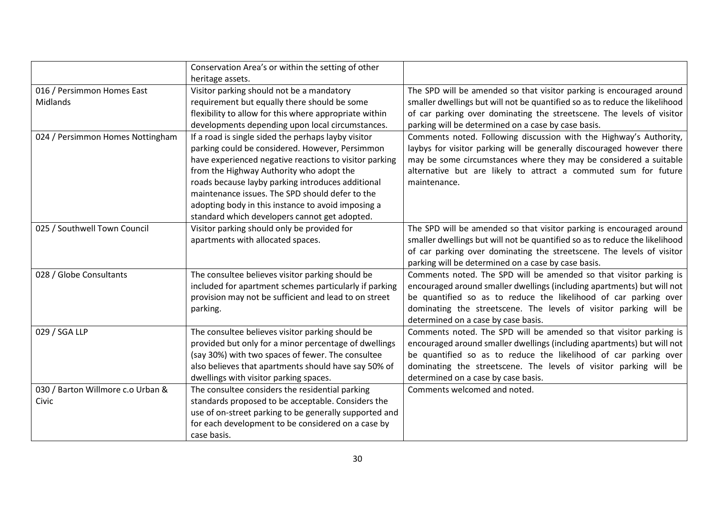|                                   | Conservation Area's or within the setting of other     |                                                                             |
|-----------------------------------|--------------------------------------------------------|-----------------------------------------------------------------------------|
|                                   | heritage assets.                                       |                                                                             |
| 016 / Persimmon Homes East        | Visitor parking should not be a mandatory              | The SPD will be amended so that visitor parking is encouraged around        |
| Midlands                          | requirement but equally there should be some           | smaller dwellings but will not be quantified so as to reduce the likelihood |
|                                   | flexibility to allow for this where appropriate within | of car parking over dominating the streetscene. The levels of visitor       |
|                                   | developments depending upon local circumstances.       | parking will be determined on a case by case basis.                         |
| 024 / Persimmon Homes Nottingham  | If a road is single sided the perhaps layby visitor    | Comments noted. Following discussion with the Highway's Authority,          |
|                                   | parking could be considered. However, Persimmon        | laybys for visitor parking will be generally discouraged however there      |
|                                   | have experienced negative reactions to visitor parking | may be some circumstances where they may be considered a suitable           |
|                                   | from the Highway Authority who adopt the               | alternative but are likely to attract a commuted sum for future             |
|                                   | roads because layby parking introduces additional      | maintenance.                                                                |
|                                   | maintenance issues. The SPD should defer to the        |                                                                             |
|                                   | adopting body in this instance to avoid imposing a     |                                                                             |
|                                   | standard which developers cannot get adopted.          |                                                                             |
| 025 / Southwell Town Council      | Visitor parking should only be provided for            | The SPD will be amended so that visitor parking is encouraged around        |
|                                   | apartments with allocated spaces.                      | smaller dwellings but will not be quantified so as to reduce the likelihood |
|                                   |                                                        | of car parking over dominating the streetscene. The levels of visitor       |
|                                   |                                                        | parking will be determined on a case by case basis.                         |
| 028 / Globe Consultants           | The consultee believes visitor parking should be       | Comments noted. The SPD will be amended so that visitor parking is          |
|                                   | included for apartment schemes particularly if parking | encouraged around smaller dwellings (including apartments) but will not     |
|                                   | provision may not be sufficient and lead to on street  | be quantified so as to reduce the likelihood of car parking over            |
|                                   | parking.                                               | dominating the streetscene. The levels of visitor parking will be           |
|                                   |                                                        | determined on a case by case basis.                                         |
| 029 / SGA LLP                     | The consultee believes visitor parking should be       | Comments noted. The SPD will be amended so that visitor parking is          |
|                                   | provided but only for a minor percentage of dwellings  | encouraged around smaller dwellings (including apartments) but will not     |
|                                   | (say 30%) with two spaces of fewer. The consultee      | be quantified so as to reduce the likelihood of car parking over            |
|                                   | also believes that apartments should have say 50% of   | dominating the streetscene. The levels of visitor parking will be           |
|                                   | dwellings with visitor parking spaces.                 | determined on a case by case basis.                                         |
| 030 / Barton Willmore c.o Urban & | The consultee considers the residential parking        | Comments welcomed and noted.                                                |
| Civic                             | standards proposed to be acceptable. Considers the     |                                                                             |
|                                   | use of on-street parking to be generally supported and |                                                                             |
|                                   | for each development to be considered on a case by     |                                                                             |
|                                   | case basis.                                            |                                                                             |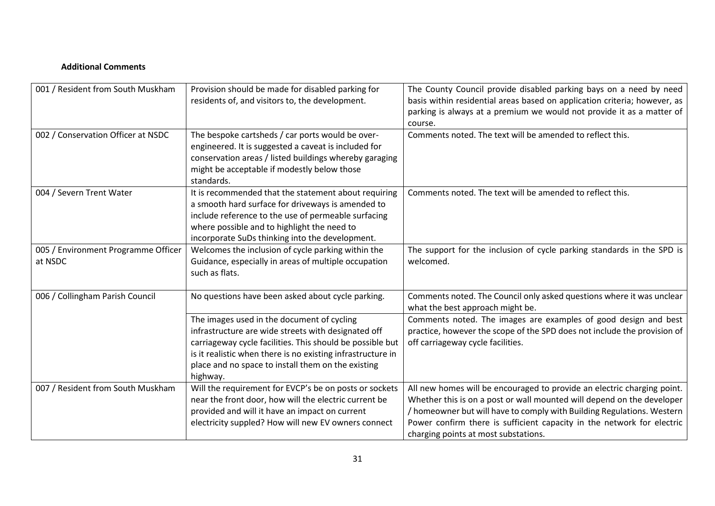#### **Additional Comments**

| 001 / Resident from South Muskham              | Provision should be made for disabled parking for<br>residents of, and visitors to, the development.                                                                                                                                                                                                                                                 | The County Council provide disabled parking bays on a need by need<br>basis within residential areas based on application criteria; however, as<br>parking is always at a premium we would not provide it as a matter of<br>course.                                                                                                           |
|------------------------------------------------|------------------------------------------------------------------------------------------------------------------------------------------------------------------------------------------------------------------------------------------------------------------------------------------------------------------------------------------------------|-----------------------------------------------------------------------------------------------------------------------------------------------------------------------------------------------------------------------------------------------------------------------------------------------------------------------------------------------|
| 002 / Conservation Officer at NSDC             | The bespoke cartsheds / car ports would be over-<br>engineered. It is suggested a caveat is included for<br>conservation areas / listed buildings whereby garaging<br>might be acceptable if modestly below those<br>standards.                                                                                                                      | Comments noted. The text will be amended to reflect this.                                                                                                                                                                                                                                                                                     |
| 004 / Severn Trent Water                       | It is recommended that the statement about requiring<br>a smooth hard surface for driveways is amended to<br>include reference to the use of permeable surfacing<br>where possible and to highlight the need to<br>incorporate SuDs thinking into the development.                                                                                   | Comments noted. The text will be amended to reflect this.                                                                                                                                                                                                                                                                                     |
| 005 / Environment Programme Officer<br>at NSDC | Welcomes the inclusion of cycle parking within the<br>Guidance, especially in areas of multiple occupation<br>such as flats.                                                                                                                                                                                                                         | The support for the inclusion of cycle parking standards in the SPD is<br>welcomed.                                                                                                                                                                                                                                                           |
| 006 / Collingham Parish Council                | No questions have been asked about cycle parking.<br>The images used in the document of cycling<br>infrastructure are wide streets with designated off<br>carriageway cycle facilities. This should be possible but<br>is it realistic when there is no existing infrastructure in<br>place and no space to install them on the existing<br>highway. | Comments noted. The Council only asked questions where it was unclear<br>what the best approach might be.<br>Comments noted. The images are examples of good design and best<br>practice, however the scope of the SPD does not include the provision of<br>off carriageway cycle facilities.                                                 |
| 007 / Resident from South Muskham              | Will the requirement for EVCP's be on posts or sockets<br>near the front door, how will the electric current be<br>provided and will it have an impact on current<br>electricity suppled? How will new EV owners connect                                                                                                                             | All new homes will be encouraged to provide an electric charging point.<br>Whether this is on a post or wall mounted will depend on the developer<br>/ homeowner but will have to comply with Building Regulations. Western<br>Power confirm there is sufficient capacity in the network for electric<br>charging points at most substations. |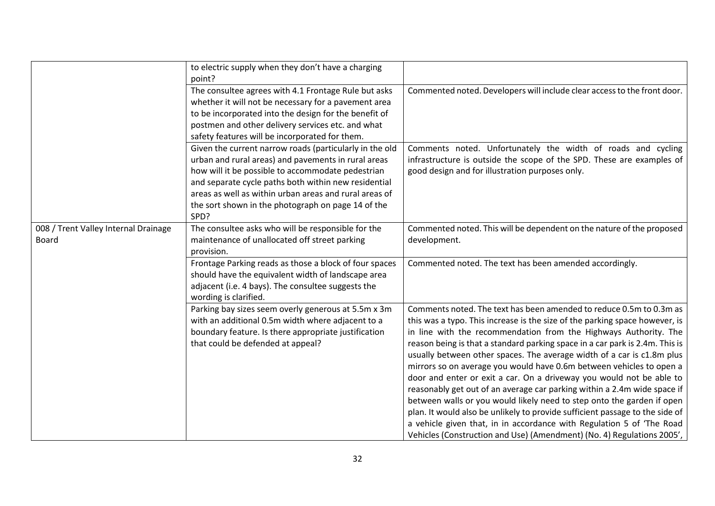|                                      | to electric supply when they don't have a charging                          |                                                                              |
|--------------------------------------|-----------------------------------------------------------------------------|------------------------------------------------------------------------------|
|                                      | point?<br>The consultee agrees with 4.1 Frontage Rule but asks              | Commented noted. Developers will include clear access to the front door.     |
|                                      | whether it will not be necessary for a pavement area                        |                                                                              |
|                                      | to be incorporated into the design for the benefit of                       |                                                                              |
|                                      | postmen and other delivery services etc. and what                           |                                                                              |
|                                      | safety features will be incorporated for them.                              |                                                                              |
|                                      | Given the current narrow roads (particularly in the old                     | Comments noted. Unfortunately the width of roads and cycling                 |
|                                      | urban and rural areas) and pavements in rural areas                         | infrastructure is outside the scope of the SPD. These are examples of        |
|                                      | how will it be possible to accommodate pedestrian                           | good design and for illustration purposes only.                              |
|                                      | and separate cycle paths both within new residential                        |                                                                              |
|                                      | areas as well as within urban areas and rural areas of                      |                                                                              |
|                                      | the sort shown in the photograph on page 14 of the<br>SPD?                  |                                                                              |
| 008 / Trent Valley Internal Drainage | The consultee asks who will be responsible for the                          | Commented noted. This will be dependent on the nature of the proposed        |
| <b>Board</b>                         | maintenance of unallocated off street parking                               | development.                                                                 |
|                                      | provision.                                                                  |                                                                              |
|                                      | Frontage Parking reads as those a block of four spaces                      | Commented noted. The text has been amended accordingly.                      |
|                                      | should have the equivalent width of landscape area                          |                                                                              |
|                                      | adjacent (i.e. 4 bays). The consultee suggests the<br>wording is clarified. |                                                                              |
|                                      | Parking bay sizes seem overly generous at 5.5m x 3m                         | Comments noted. The text has been amended to reduce 0.5m to 0.3m as          |
|                                      | with an additional 0.5m width where adjacent to a                           | this was a typo. This increase is the size of the parking space however, is  |
|                                      | boundary feature. Is there appropriate justification                        | in line with the recommendation from the Highways Authority. The             |
|                                      | that could be defended at appeal?                                           | reason being is that a standard parking space in a car park is 2.4m. This is |
|                                      |                                                                             | usually between other spaces. The average width of a car is c1.8m plus       |
|                                      |                                                                             | mirrors so on average you would have 0.6m between vehicles to open a         |
|                                      |                                                                             | door and enter or exit a car. On a driveway you would not be able to         |
|                                      |                                                                             | reasonably get out of an average car parking within a 2.4m wide space if     |
|                                      |                                                                             | between walls or you would likely need to step onto the garden if open       |
|                                      |                                                                             | plan. It would also be unlikely to provide sufficient passage to the side of |
|                                      |                                                                             | a vehicle given that, in in accordance with Regulation 5 of 'The Road        |
|                                      |                                                                             | Vehicles (Construction and Use) (Amendment) (No. 4) Regulations 2005',       |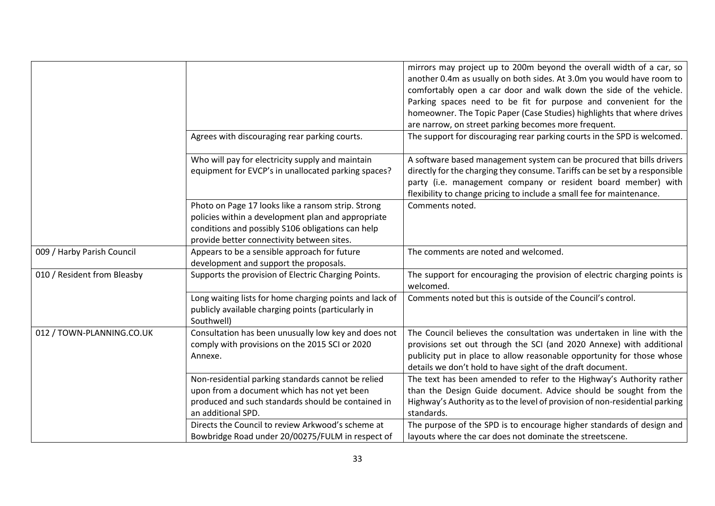|                             | Agrees with discouraging rear parking courts.                                                                                                                                                               | mirrors may project up to 200m beyond the overall width of a car, so<br>another 0.4m as usually on both sides. At 3.0m you would have room to<br>comfortably open a car door and walk down the side of the vehicle.<br>Parking spaces need to be fit for purpose and convenient for the<br>homeowner. The Topic Paper (Case Studies) highlights that where drives<br>are narrow, on street parking becomes more frequent.<br>The support for discouraging rear parking courts in the SPD is welcomed. |
|-----------------------------|-------------------------------------------------------------------------------------------------------------------------------------------------------------------------------------------------------------|-------------------------------------------------------------------------------------------------------------------------------------------------------------------------------------------------------------------------------------------------------------------------------------------------------------------------------------------------------------------------------------------------------------------------------------------------------------------------------------------------------|
|                             | Who will pay for electricity supply and maintain<br>equipment for EVCP's in unallocated parking spaces?                                                                                                     | A software based management system can be procured that bills drivers<br>directly for the charging they consume. Tariffs can be set by a responsible<br>party (i.e. management company or resident board member) with                                                                                                                                                                                                                                                                                 |
|                             | Photo on Page 17 looks like a ransom strip. Strong<br>policies within a development plan and appropriate<br>conditions and possibly S106 obligations can help<br>provide better connectivity between sites. | flexibility to change pricing to include a small fee for maintenance.<br>Comments noted.                                                                                                                                                                                                                                                                                                                                                                                                              |
| 009 / Harby Parish Council  | Appears to be a sensible approach for future<br>development and support the proposals.                                                                                                                      | The comments are noted and welcomed.                                                                                                                                                                                                                                                                                                                                                                                                                                                                  |
| 010 / Resident from Bleasby | Supports the provision of Electric Charging Points.                                                                                                                                                         | The support for encouraging the provision of electric charging points is<br>welcomed.                                                                                                                                                                                                                                                                                                                                                                                                                 |
|                             | Long waiting lists for home charging points and lack of<br>publicly available charging points (particularly in<br>Southwell)                                                                                | Comments noted but this is outside of the Council's control.                                                                                                                                                                                                                                                                                                                                                                                                                                          |
| 012 / TOWN-PLANNING.CO.UK   | Consultation has been unusually low key and does not<br>comply with provisions on the 2015 SCI or 2020<br>Annexe.                                                                                           | The Council believes the consultation was undertaken in line with the<br>provisions set out through the SCI (and 2020 Annexe) with additional<br>publicity put in place to allow reasonable opportunity for those whose<br>details we don't hold to have sight of the draft document.                                                                                                                                                                                                                 |
|                             | Non-residential parking standards cannot be relied<br>upon from a document which has not yet been<br>produced and such standards should be contained in<br>an additional SPD.                               | The text has been amended to refer to the Highway's Authority rather<br>than the Design Guide document. Advice should be sought from the<br>Highway's Authority as to the level of provision of non-residential parking<br>standards.                                                                                                                                                                                                                                                                 |
|                             | Directs the Council to review Arkwood's scheme at<br>Bowbridge Road under 20/00275/FULM in respect of                                                                                                       | The purpose of the SPD is to encourage higher standards of design and<br>layouts where the car does not dominate the streetscene.                                                                                                                                                                                                                                                                                                                                                                     |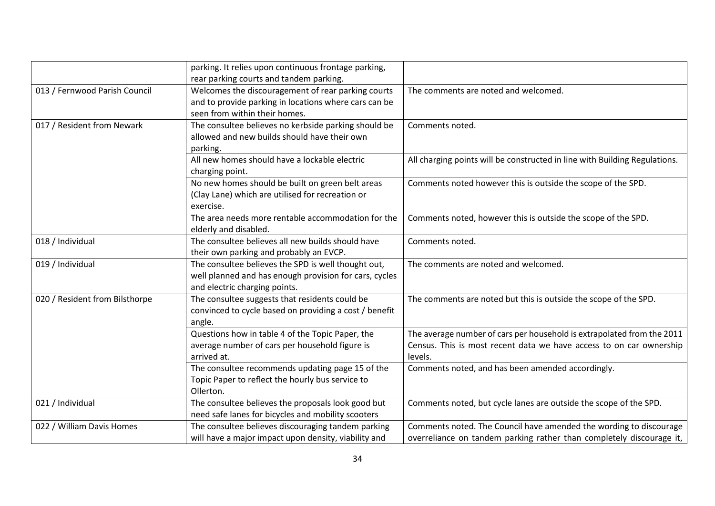|                                | parking. It relies upon continuous frontage parking,   |                                                                            |
|--------------------------------|--------------------------------------------------------|----------------------------------------------------------------------------|
|                                | rear parking courts and tandem parking.                |                                                                            |
| 013 / Fernwood Parish Council  | Welcomes the discouragement of rear parking courts     | The comments are noted and welcomed.                                       |
|                                | and to provide parking in locations where cars can be  |                                                                            |
|                                | seen from within their homes.                          |                                                                            |
| 017 / Resident from Newark     | The consultee believes no kerbside parking should be   | Comments noted.                                                            |
|                                | allowed and new builds should have their own           |                                                                            |
|                                | parking.                                               |                                                                            |
|                                | All new homes should have a lockable electric          | All charging points will be constructed in line with Building Regulations. |
|                                | charging point.                                        |                                                                            |
|                                | No new homes should be built on green belt areas       | Comments noted however this is outside the scope of the SPD.               |
|                                | (Clay Lane) which are utilised for recreation or       |                                                                            |
|                                | exercise.                                              |                                                                            |
|                                | The area needs more rentable accommodation for the     | Comments noted, however this is outside the scope of the SPD.              |
|                                | elderly and disabled.                                  |                                                                            |
| 018 / Individual               | The consultee believes all new builds should have      | Comments noted.                                                            |
|                                | their own parking and probably an EVCP.                |                                                                            |
| 019 / Individual               | The consultee believes the SPD is well thought out,    | The comments are noted and welcomed.                                       |
|                                | well planned and has enough provision for cars, cycles |                                                                            |
|                                | and electric charging points.                          |                                                                            |
| 020 / Resident from Bilsthorpe | The consultee suggests that residents could be         | The comments are noted but this is outside the scope of the SPD.           |
|                                | convinced to cycle based on providing a cost / benefit |                                                                            |
|                                | angle.                                                 |                                                                            |
|                                | Questions how in table 4 of the Topic Paper, the       | The average number of cars per household is extrapolated from the 2011     |
|                                | average number of cars per household figure is         | Census. This is most recent data we have access to on car ownership        |
|                                | arrived at.                                            | levels.                                                                    |
|                                | The consultee recommends updating page 15 of the       | Comments noted, and has been amended accordingly.                          |
|                                | Topic Paper to reflect the hourly bus service to       |                                                                            |
|                                | Ollerton.                                              |                                                                            |
| 021 / Individual               | The consultee believes the proposals look good but     | Comments noted, but cycle lanes are outside the scope of the SPD.          |
|                                | need safe lanes for bicycles and mobility scooters     |                                                                            |
| 022 / William Davis Homes      | The consultee believes discouraging tandem parking     | Comments noted. The Council have amended the wording to discourage         |
|                                | will have a major impact upon density, viability and   | overreliance on tandem parking rather than completely discourage it,       |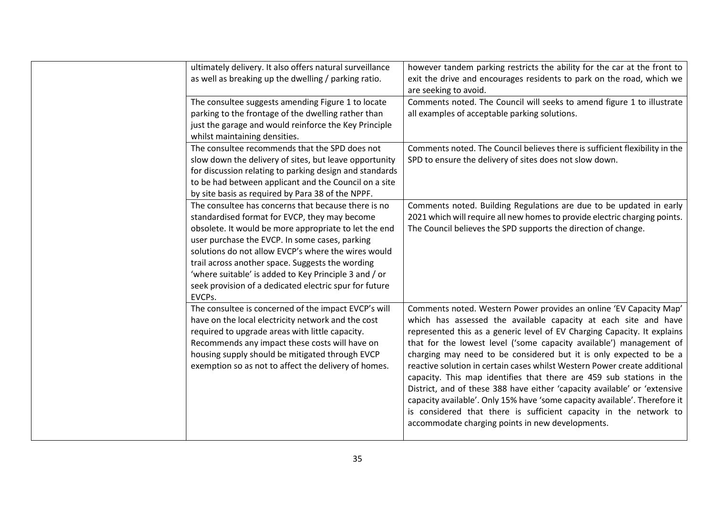| ultimately delivery. It also offers natural surveillance | however tandem parking restricts the ability for the car at the front to                       |
|----------------------------------------------------------|------------------------------------------------------------------------------------------------|
| as well as breaking up the dwelling / parking ratio.     | exit the drive and encourages residents to park on the road, which we<br>are seeking to avoid. |
| The consultee suggests amending Figure 1 to locate       | Comments noted. The Council will seeks to amend figure 1 to illustrate                         |
| parking to the frontage of the dwelling rather than      | all examples of acceptable parking solutions.                                                  |
| just the garage and would reinforce the Key Principle    |                                                                                                |
| whilst maintaining densities.                            |                                                                                                |
| The consultee recommends that the SPD does not           | Comments noted. The Council believes there is sufficient flexibility in the                    |
| slow down the delivery of sites, but leave opportunity   | SPD to ensure the delivery of sites does not slow down.                                        |
|                                                          |                                                                                                |
| for discussion relating to parking design and standards  |                                                                                                |
| to be had between applicant and the Council on a site    |                                                                                                |
| by site basis as required by Para 38 of the NPPF.        |                                                                                                |
| The consultee has concerns that because there is no      | Comments noted. Building Regulations are due to be updated in early                            |
| standardised format for EVCP, they may become            | 2021 which will require all new homes to provide electric charging points.                     |
| obsolete. It would be more appropriate to let the end    | The Council believes the SPD supports the direction of change.                                 |
| user purchase the EVCP. In some cases, parking           |                                                                                                |
| solutions do not allow EVCP's where the wires would      |                                                                                                |
| trail across another space. Suggests the wording         |                                                                                                |
| 'where suitable' is added to Key Principle 3 and / or    |                                                                                                |
| seek provision of a dedicated electric spur for future   |                                                                                                |
| EVCPs.                                                   |                                                                                                |
| The consultee is concerned of the impact EVCP's will     | Comments noted. Western Power provides an online 'EV Capacity Map'                             |
| have on the local electricity network and the cost       | which has assessed the available capacity at each site and have                                |
| required to upgrade areas with little capacity.          | represented this as a generic level of EV Charging Capacity. It explains                       |
| Recommends any impact these costs will have on           | that for the lowest level ('some capacity available') management of                            |
| housing supply should be mitigated through EVCP          | charging may need to be considered but it is only expected to be a                             |
| exemption so as not to affect the delivery of homes.     | reactive solution in certain cases whilst Western Power create additional                      |
|                                                          | capacity. This map identifies that there are 459 sub stations in the                           |
|                                                          | District, and of these 388 have either 'capacity available' or 'extensive                      |
|                                                          | capacity available'. Only 15% have 'some capacity available'. Therefore it                     |
|                                                          | is considered that there is sufficient capacity in the network to                              |
|                                                          | accommodate charging points in new developments.                                               |
|                                                          |                                                                                                |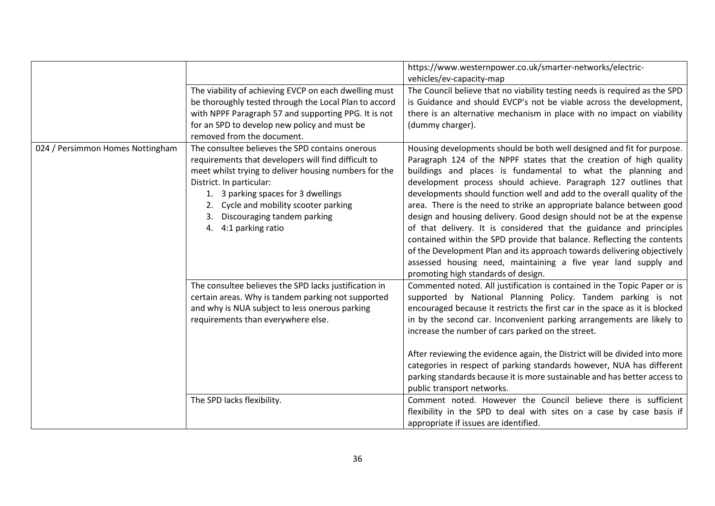|                                  | The viability of achieving EVCP on each dwelling must<br>be thoroughly tested through the Local Plan to accord<br>with NPPF Paragraph 57 and supporting PPG. It is not<br>for an SPD to develop new policy and must be<br>removed from the document.                                                                                  | https://www.westernpower.co.uk/smarter-networks/electric-<br>vehicles/ev-capacity-map<br>The Council believe that no viability testing needs is required as the SPD<br>is Guidance and should EVCP's not be viable across the development,<br>there is an alternative mechanism in place with no impact on viability<br>(dummy charger).                                                                                                                                                                                                                                                                                                                                                                                                                                                                                                          |
|----------------------------------|---------------------------------------------------------------------------------------------------------------------------------------------------------------------------------------------------------------------------------------------------------------------------------------------------------------------------------------|---------------------------------------------------------------------------------------------------------------------------------------------------------------------------------------------------------------------------------------------------------------------------------------------------------------------------------------------------------------------------------------------------------------------------------------------------------------------------------------------------------------------------------------------------------------------------------------------------------------------------------------------------------------------------------------------------------------------------------------------------------------------------------------------------------------------------------------------------|
| 024 / Persimmon Homes Nottingham | The consultee believes the SPD contains onerous<br>requirements that developers will find difficult to<br>meet whilst trying to deliver housing numbers for the<br>District. In particular:<br>1. 3 parking spaces for 3 dwellings<br>2. Cycle and mobility scooter parking<br>3. Discouraging tandem parking<br>4. 4:1 parking ratio | Housing developments should be both well designed and fit for purpose.<br>Paragraph 124 of the NPPF states that the creation of high quality<br>buildings and places is fundamental to what the planning and<br>development process should achieve. Paragraph 127 outlines that<br>developments should function well and add to the overall quality of the<br>area. There is the need to strike an appropriate balance between good<br>design and housing delivery. Good design should not be at the expense<br>of that delivery. It is considered that the guidance and principles<br>contained within the SPD provide that balance. Reflecting the contents<br>of the Development Plan and its approach towards delivering objectively<br>assessed housing need, maintaining a five year land supply and<br>promoting high standards of design. |
|                                  | The consultee believes the SPD lacks justification in<br>certain areas. Why is tandem parking not supported<br>and why is NUA subject to less onerous parking<br>requirements than everywhere else.                                                                                                                                   | Commented noted. All justification is contained in the Topic Paper or is<br>supported by National Planning Policy. Tandem parking is not<br>encouraged because it restricts the first car in the space as it is blocked<br>in by the second car. Inconvenient parking arrangements are likely to<br>increase the number of cars parked on the street.<br>After reviewing the evidence again, the District will be divided into more<br>categories in respect of parking standards however, NUA has different<br>parking standards because it is more sustainable and has better access to<br>public transport networks.                                                                                                                                                                                                                           |
|                                  | The SPD lacks flexibility.                                                                                                                                                                                                                                                                                                            | Comment noted. However the Council believe there is sufficient<br>flexibility in the SPD to deal with sites on a case by case basis if<br>appropriate if issues are identified.                                                                                                                                                                                                                                                                                                                                                                                                                                                                                                                                                                                                                                                                   |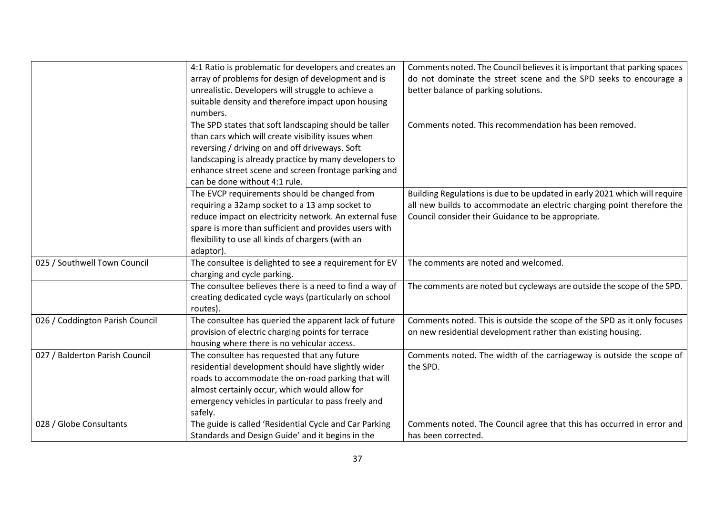|                                 | 4:1 Ratio is problematic for developers and creates an  | Comments noted. The Council believes it is important that parking spaces   |
|---------------------------------|---------------------------------------------------------|----------------------------------------------------------------------------|
|                                 | array of problems for design of development and is      | do not dominate the street scene and the SPD seeks to encourage a          |
|                                 | unrealistic. Developers will struggle to achieve a      | better balance of parking solutions.                                       |
|                                 | suitable density and therefore impact upon housing      |                                                                            |
|                                 | numbers.                                                |                                                                            |
|                                 | The SPD states that soft landscaping should be taller   | Comments noted. This recommendation has been removed.                      |
|                                 | than cars which will create visibility issues when      |                                                                            |
|                                 | reversing / driving on and off driveways. Soft          |                                                                            |
|                                 | landscaping is already practice by many developers to   |                                                                            |
|                                 | enhance street scene and screen frontage parking and    |                                                                            |
|                                 | can be done without 4:1 rule.                           |                                                                            |
|                                 | The EVCP requirements should be changed from            | Building Regulations is due to be updated in early 2021 which will require |
|                                 | requiring a 32amp socket to a 13 amp socket to          | all new builds to accommodate an electric charging point therefore the     |
|                                 | reduce impact on electricity network. An external fuse  | Council consider their Guidance to be appropriate.                         |
|                                 | spare is more than sufficient and provides users with   |                                                                            |
|                                 | flexibility to use all kinds of chargers (with an       |                                                                            |
|                                 | adaptor).                                               |                                                                            |
| 025 / Southwell Town Council    | The consultee is delighted to see a requirement for EV  | The comments are noted and welcomed.                                       |
|                                 | charging and cycle parking.                             |                                                                            |
|                                 | The consultee believes there is a need to find a way of | The comments are noted but cycleways are outside the scope of the SPD.     |
|                                 | creating dedicated cycle ways (particularly on school   |                                                                            |
|                                 | routes).                                                |                                                                            |
| 026 / Coddington Parish Council | The consultee has queried the apparent lack of future   | Comments noted. This is outside the scope of the SPD as it only focuses    |
|                                 | provision of electric charging points for terrace       | on new residential development rather than existing housing.               |
|                                 | housing where there is no vehicular access.             |                                                                            |
| 027 / Balderton Parish Council  | The consultee has requested that any future             | Comments noted. The width of the carriageway is outside the scope of       |
|                                 | residential development should have slightly wider      | the SPD.                                                                   |
|                                 | roads to accommodate the on-road parking that will      |                                                                            |
|                                 | almost certainly occur, which would allow for           |                                                                            |
|                                 | emergency vehicles in particular to pass freely and     |                                                                            |
|                                 | safely.                                                 |                                                                            |
| 028 / Globe Consultants         | The guide is called 'Residential Cycle and Car Parking  | Comments noted. The Council agree that this has occurred in error and      |
|                                 | Standards and Design Guide' and it begins in the        | has been corrected.                                                        |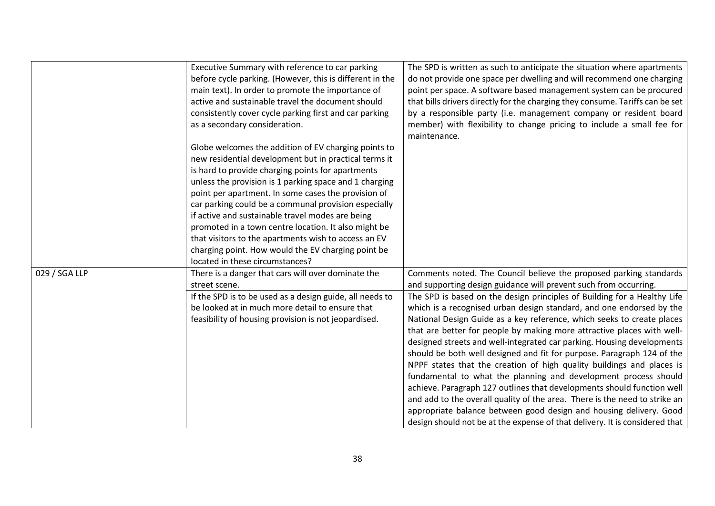|               | Executive Summary with reference to car parking          | The SPD is written as such to anticipate the situation where apartments       |
|---------------|----------------------------------------------------------|-------------------------------------------------------------------------------|
|               | before cycle parking. (However, this is different in the | do not provide one space per dwelling and will recommend one charging         |
|               | main text). In order to promote the importance of        | point per space. A software based management system can be procured           |
|               | active and sustainable travel the document should        | that bills drivers directly for the charging they consume. Tariffs can be set |
|               | consistently cover cycle parking first and car parking   | by a responsible party (i.e. management company or resident board             |
|               | as a secondary consideration.                            | member) with flexibility to change pricing to include a small fee for         |
|               |                                                          | maintenance.                                                                  |
|               | Globe welcomes the addition of EV charging points to     |                                                                               |
|               | new residential development but in practical terms it    |                                                                               |
|               | is hard to provide charging points for apartments        |                                                                               |
|               | unless the provision is 1 parking space and 1 charging   |                                                                               |
|               | point per apartment. In some cases the provision of      |                                                                               |
|               | car parking could be a communal provision especially     |                                                                               |
|               | if active and sustainable travel modes are being         |                                                                               |
|               | promoted in a town centre location. It also might be     |                                                                               |
|               | that visitors to the apartments wish to access an EV     |                                                                               |
|               | charging point. How would the EV charging point be       |                                                                               |
|               | located in these circumstances?                          |                                                                               |
| 029 / SGA LLP | There is a danger that cars will over dominate the       | Comments noted. The Council believe the proposed parking standards            |
|               | street scene.                                            | and supporting design guidance will prevent such from occurring.              |
|               | If the SPD is to be used as a design guide, all needs to | The SPD is based on the design principles of Building for a Healthy Life      |
|               | be looked at in much more detail to ensure that          | which is a recognised urban design standard, and one endorsed by the          |
|               | feasibility of housing provision is not jeopardised.     | National Design Guide as a key reference, which seeks to create places        |
|               |                                                          | that are better for people by making more attractive places with well-        |
|               |                                                          | designed streets and well-integrated car parking. Housing developments        |
|               |                                                          | should be both well designed and fit for purpose. Paragraph 124 of the        |
|               |                                                          | NPPF states that the creation of high quality buildings and places is         |
|               |                                                          | fundamental to what the planning and development process should               |
|               |                                                          | achieve. Paragraph 127 outlines that developments should function well        |
|               |                                                          | and add to the overall quality of the area. There is the need to strike an    |
|               |                                                          | appropriate balance between good design and housing delivery. Good            |
|               |                                                          | design should not be at the expense of that delivery. It is considered that   |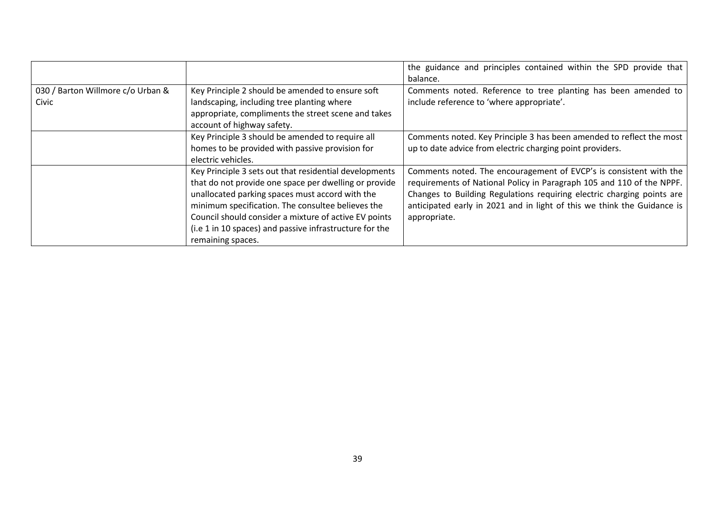|                                   |                                                         | the guidance and principles contained within the SPD provide that       |
|-----------------------------------|---------------------------------------------------------|-------------------------------------------------------------------------|
|                                   |                                                         | balance.                                                                |
| 030 / Barton Willmore c/o Urban & | Key Principle 2 should be amended to ensure soft        | Comments noted. Reference to tree planting has been amended to          |
| Civic                             | landscaping, including tree planting where              | include reference to 'where appropriate'.                               |
|                                   | appropriate, compliments the street scene and takes     |                                                                         |
|                                   | account of highway safety.                              |                                                                         |
|                                   | Key Principle 3 should be amended to require all        | Comments noted. Key Principle 3 has been amended to reflect the most    |
|                                   | homes to be provided with passive provision for         | up to date advice from electric charging point providers.               |
|                                   | electric vehicles.                                      |                                                                         |
|                                   | Key Principle 3 sets out that residential developments  | Comments noted. The encouragement of EVCP's is consistent with the      |
|                                   | that do not provide one space per dwelling or provide   | requirements of National Policy in Paragraph 105 and 110 of the NPPF.   |
|                                   | unallocated parking spaces must accord with the         | Changes to Building Regulations requiring electric charging points are  |
|                                   | minimum specification. The consultee believes the       | anticipated early in 2021 and in light of this we think the Guidance is |
|                                   | Council should consider a mixture of active EV points   | appropriate.                                                            |
|                                   | (i.e 1 in 10 spaces) and passive infrastructure for the |                                                                         |
|                                   | remaining spaces.                                       |                                                                         |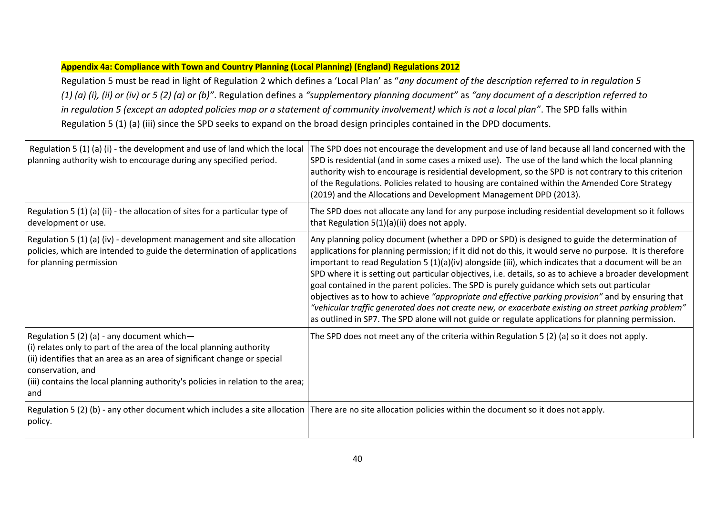#### **Appendix 4a: Compliance with Town and Country Planning (Local Planning) (England) Regulations 2012**

Regulation 5 must be read in light of Regulation 2 which defines a 'Local Plan' as "*any document of the description referred to in regulation 5 (1) (a) (i), (ii) or (iv) or 5 (2) (a) or (b)"*. Regulation defines a *"supplementary planning document"* as *"any document of a description referred to in regulation 5 (except an adopted policies map or a statement of community involvement) which is not a local plan"*. The SPD falls within Regulation 5 (1) (a) (iii) since the SPD seeks to expand on the broad design principles contained in the DPD documents.

| Regulation 5 (1) (a) (i) - the development and use of land which the local<br>planning authority wish to encourage during any specified period.                                                                                                                                                               | The SPD does not encourage the development and use of land because all land concerned with the<br>SPD is residential (and in some cases a mixed use). The use of the land which the local planning<br>authority wish to encourage is residential development, so the SPD is not contrary to this criterion<br>of the Regulations. Policies related to housing are contained within the Amended Core Strategy<br>(2019) and the Allocations and Development Management DPD (2013).                                                                                                                                                                                                                                                                                                                                                              |
|---------------------------------------------------------------------------------------------------------------------------------------------------------------------------------------------------------------------------------------------------------------------------------------------------------------|------------------------------------------------------------------------------------------------------------------------------------------------------------------------------------------------------------------------------------------------------------------------------------------------------------------------------------------------------------------------------------------------------------------------------------------------------------------------------------------------------------------------------------------------------------------------------------------------------------------------------------------------------------------------------------------------------------------------------------------------------------------------------------------------------------------------------------------------|
| Regulation 5 (1) (a) (ii) - the allocation of sites for a particular type of<br>development or use.                                                                                                                                                                                                           | The SPD does not allocate any land for any purpose including residential development so it follows<br>that Regulation 5(1)(a)(ii) does not apply.                                                                                                                                                                                                                                                                                                                                                                                                                                                                                                                                                                                                                                                                                              |
| Regulation 5 (1) (a) (iv) - development management and site allocation<br>policies, which are intended to guide the determination of applications<br>for planning permission                                                                                                                                  | Any planning policy document (whether a DPD or SPD) is designed to guide the determination of<br>applications for planning permission; if it did not do this, it would serve no purpose. It is therefore<br>important to read Regulation 5 (1)(a)(iv) alongside (iii), which indicates that a document will be an<br>SPD where it is setting out particular objectives, i.e. details, so as to achieve a broader development<br>goal contained in the parent policies. The SPD is purely guidance which sets out particular<br>objectives as to how to achieve "appropriate and effective parking provision" and by ensuring that<br>"vehicular traffic generated does not create new, or exacerbate existing on street parking problem"<br>as outlined in SP7. The SPD alone will not guide or regulate applications for planning permission. |
| Regulation 5 (2) (a) - any document which-<br>(i) relates only to part of the area of the local planning authority<br>(ii) identifies that an area as an area of significant change or special<br>conservation, and<br>(iii) contains the local planning authority's policies in relation to the area;<br>and | The SPD does not meet any of the criteria within Regulation 5 (2) (a) so it does not apply.                                                                                                                                                                                                                                                                                                                                                                                                                                                                                                                                                                                                                                                                                                                                                    |
| policy.                                                                                                                                                                                                                                                                                                       | Regulation 5 (2) (b) - any other document which includes a site allocation There are no site allocation policies within the document so it does not apply.                                                                                                                                                                                                                                                                                                                                                                                                                                                                                                                                                                                                                                                                                     |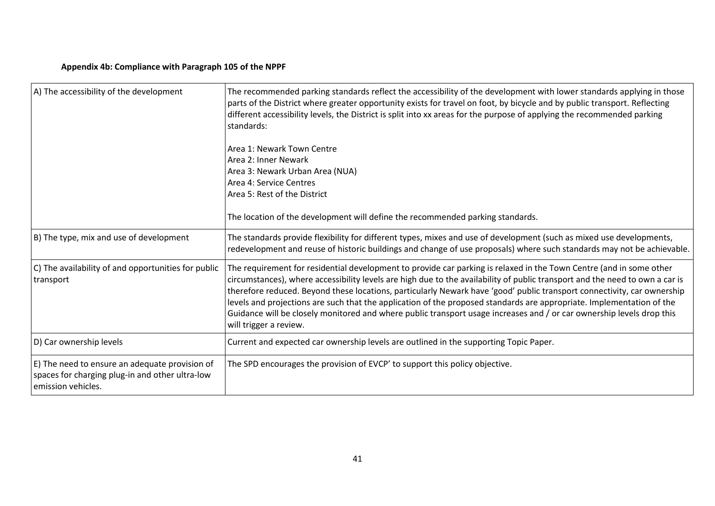### **Appendix 4b: Compliance with Paragraph 105 of the NPPF**

| A) The accessibility of the development                                                                                 | The recommended parking standards reflect the accessibility of the development with lower standards applying in those<br>parts of the District where greater opportunity exists for travel on foot, by bicycle and by public transport. Reflecting<br>different accessibility levels, the District is split into xx areas for the purpose of applying the recommended parking<br>standards:<br>Area 1: Newark Town Centre<br>Area 2: Inner Newark<br>Area 3: Newark Urban Area (NUA)<br>Area 4: Service Centres<br>Area 5: Rest of the District                                                                                                            |
|-------------------------------------------------------------------------------------------------------------------------|------------------------------------------------------------------------------------------------------------------------------------------------------------------------------------------------------------------------------------------------------------------------------------------------------------------------------------------------------------------------------------------------------------------------------------------------------------------------------------------------------------------------------------------------------------------------------------------------------------------------------------------------------------|
|                                                                                                                         | The location of the development will define the recommended parking standards.                                                                                                                                                                                                                                                                                                                                                                                                                                                                                                                                                                             |
| B) The type, mix and use of development                                                                                 | The standards provide flexibility for different types, mixes and use of development (such as mixed use developments,<br>redevelopment and reuse of historic buildings and change of use proposals) where such standards may not be achievable.                                                                                                                                                                                                                                                                                                                                                                                                             |
| C) The availability of and opportunities for public<br>transport                                                        | The requirement for residential development to provide car parking is relaxed in the Town Centre (and in some other<br>circumstances), where accessibility levels are high due to the availability of public transport and the need to own a car is<br>therefore reduced. Beyond these locations, particularly Newark have 'good' public transport connectivity, car ownership<br>levels and projections are such that the application of the proposed standards are appropriate. Implementation of the<br>Guidance will be closely monitored and where public transport usage increases and / or car ownership levels drop this<br>will trigger a review. |
| D) Car ownership levels                                                                                                 | Current and expected car ownership levels are outlined in the supporting Topic Paper.                                                                                                                                                                                                                                                                                                                                                                                                                                                                                                                                                                      |
| E) The need to ensure an adequate provision of<br>spaces for charging plug-in and other ultra-low<br>emission vehicles. | The SPD encourages the provision of EVCP' to support this policy objective.                                                                                                                                                                                                                                                                                                                                                                                                                                                                                                                                                                                |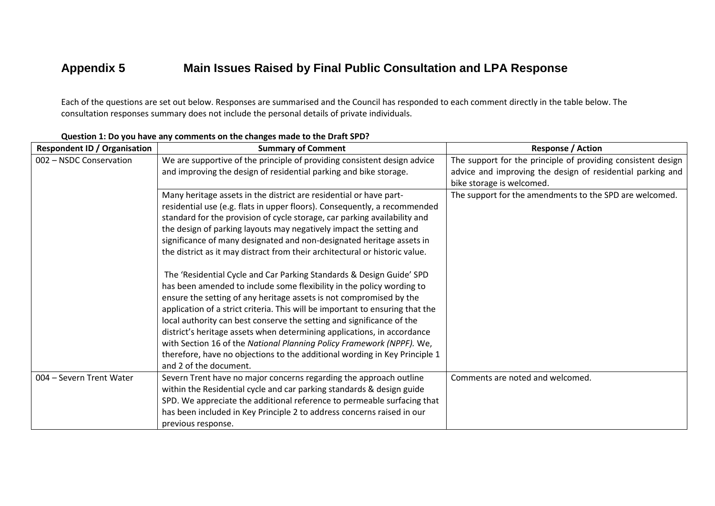## **Appendix 5 Main Issues Raised by Final Public Consultation and LPA Response**

Each of the questions are set out below. Responses are summarised and the Council has responded to each comment directly in the table below. The consultation responses summary does not include the personal details of private individuals.

| <b>Respondent ID / Organisation</b> | <b>Summary of Comment</b>                                                                                                                     | <b>Response / Action</b>                                                                                                   |
|-------------------------------------|-----------------------------------------------------------------------------------------------------------------------------------------------|----------------------------------------------------------------------------------------------------------------------------|
| 002 - NSDC Conservation             | We are supportive of the principle of providing consistent design advice<br>and improving the design of residential parking and bike storage. | The support for the principle of providing consistent design<br>advice and improving the design of residential parking and |
|                                     |                                                                                                                                               | bike storage is welcomed.                                                                                                  |
|                                     | Many heritage assets in the district are residential or have part-                                                                            | The support for the amendments to the SPD are welcomed.                                                                    |
|                                     | residential use (e.g. flats in upper floors). Consequently, a recommended                                                                     |                                                                                                                            |
|                                     | standard for the provision of cycle storage, car parking availability and                                                                     |                                                                                                                            |
|                                     | the design of parking layouts may negatively impact the setting and                                                                           |                                                                                                                            |
|                                     | significance of many designated and non-designated heritage assets in                                                                         |                                                                                                                            |
|                                     | the district as it may distract from their architectural or historic value.                                                                   |                                                                                                                            |
|                                     | The 'Residential Cycle and Car Parking Standards & Design Guide' SPD                                                                          |                                                                                                                            |
|                                     | has been amended to include some flexibility in the policy wording to                                                                         |                                                                                                                            |
|                                     | ensure the setting of any heritage assets is not compromised by the                                                                           |                                                                                                                            |
|                                     | application of a strict criteria. This will be important to ensuring that the                                                                 |                                                                                                                            |
|                                     | local authority can best conserve the setting and significance of the                                                                         |                                                                                                                            |
|                                     | district's heritage assets when determining applications, in accordance                                                                       |                                                                                                                            |
|                                     | with Section 16 of the National Planning Policy Framework (NPPF). We,                                                                         |                                                                                                                            |
|                                     | therefore, have no objections to the additional wording in Key Principle 1                                                                    |                                                                                                                            |
|                                     | and 2 of the document.                                                                                                                        |                                                                                                                            |
| 004 - Severn Trent Water            | Severn Trent have no major concerns regarding the approach outline                                                                            | Comments are noted and welcomed.                                                                                           |
|                                     | within the Residential cycle and car parking standards & design guide                                                                         |                                                                                                                            |
|                                     | SPD. We appreciate the additional reference to permeable surfacing that                                                                       |                                                                                                                            |
|                                     | has been included in Key Principle 2 to address concerns raised in our                                                                        |                                                                                                                            |
|                                     | previous response.                                                                                                                            |                                                                                                                            |

#### **Question 1: Do you have any comments on the changes made to the Draft SPD?**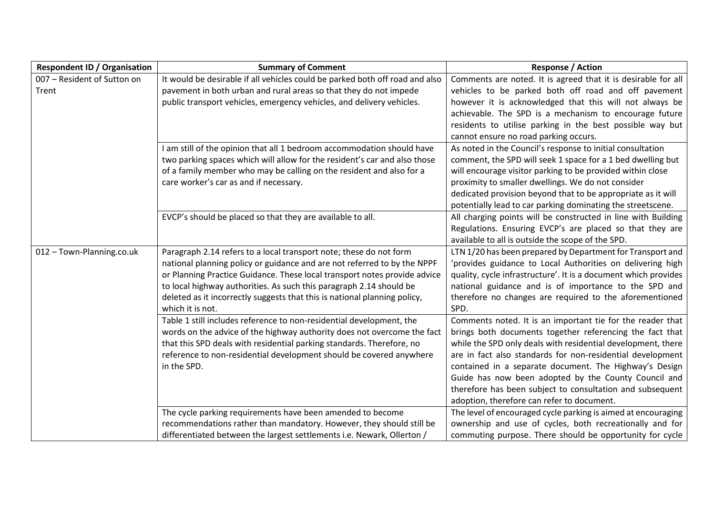| <b>Respondent ID / Organisation</b> | <b>Summary of Comment</b>                                                    | <b>Response / Action</b>                                        |
|-------------------------------------|------------------------------------------------------------------------------|-----------------------------------------------------------------|
| 007 - Resident of Sutton on         | It would be desirable if all vehicles could be parked both off road and also | Comments are noted. It is agreed that it is desirable for all   |
| Trent                               | pavement in both urban and rural areas so that they do not impede            | vehicles to be parked both off road and off pavement            |
|                                     | public transport vehicles, emergency vehicles, and delivery vehicles.        | however it is acknowledged that this will not always be         |
|                                     |                                                                              | achievable. The SPD is a mechanism to encourage future          |
|                                     |                                                                              | residents to utilise parking in the best possible way but       |
|                                     |                                                                              | cannot ensure no road parking occurs.                           |
|                                     | I am still of the opinion that all 1 bedroom accommodation should have       | As noted in the Council's response to initial consultation      |
|                                     | two parking spaces which will allow for the resident's car and also those    | comment, the SPD will seek 1 space for a 1 bed dwelling but     |
|                                     | of a family member who may be calling on the resident and also for a         | will encourage visitor parking to be provided within close      |
|                                     | care worker's car as and if necessary.                                       | proximity to smaller dwellings. We do not consider              |
|                                     |                                                                              | dedicated provision beyond that to be appropriate as it will    |
|                                     |                                                                              | potentially lead to car parking dominating the streetscene.     |
|                                     | EVCP's should be placed so that they are available to all.                   | All charging points will be constructed in line with Building   |
|                                     |                                                                              | Regulations. Ensuring EVCP's are placed so that they are        |
|                                     |                                                                              | available to all is outside the scope of the SPD.               |
| 012 - Town-Planning.co.uk           | Paragraph 2.14 refers to a local transport note; these do not form           | LTN 1/20 has been prepared by Department for Transport and      |
|                                     | national planning policy or guidance and are not referred to by the NPPF     | 'provides guidance to Local Authorities on delivering high      |
|                                     | or Planning Practice Guidance. These local transport notes provide advice    | quality, cycle infrastructure'. It is a document which provides |
|                                     | to local highway authorities. As such this paragraph 2.14 should be          | national guidance and is of importance to the SPD and           |
|                                     | deleted as it incorrectly suggests that this is national planning policy,    | therefore no changes are required to the aforementioned         |
|                                     | which it is not.                                                             | SPD.                                                            |
|                                     | Table 1 still includes reference to non-residential development, the         | Comments noted. It is an important tie for the reader that      |
|                                     | words on the advice of the highway authority does not overcome the fact      | brings both documents together referencing the fact that        |
|                                     | that this SPD deals with residential parking standards. Therefore, no        | while the SPD only deals with residential development, there    |
|                                     | reference to non-residential development should be covered anywhere          | are in fact also standards for non-residential development      |
|                                     | in the SPD.                                                                  | contained in a separate document. The Highway's Design          |
|                                     |                                                                              | Guide has now been adopted by the County Council and            |
|                                     |                                                                              | therefore has been subject to consultation and subsequent       |
|                                     |                                                                              | adoption, therefore can refer to document.                      |
|                                     | The cycle parking requirements have been amended to become                   | The level of encouraged cycle parking is aimed at encouraging   |
|                                     | recommendations rather than mandatory. However, they should still be         | ownership and use of cycles, both recreationally and for        |
|                                     | differentiated between the largest settlements i.e. Newark, Ollerton /       | commuting purpose. There should be opportunity for cycle        |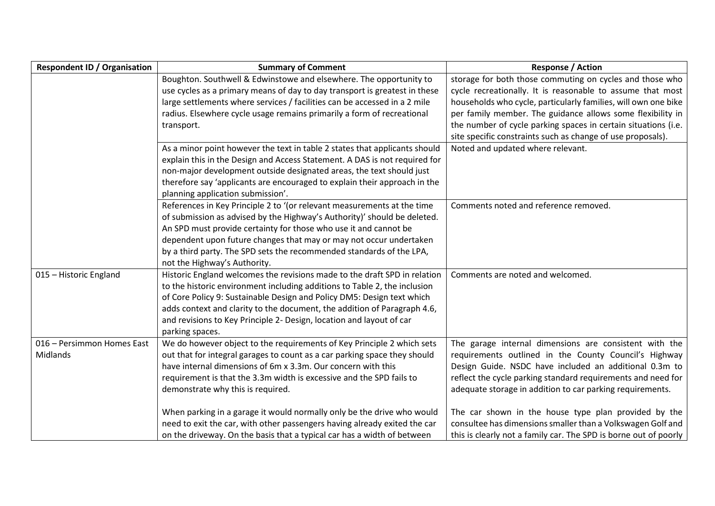| <b>Respondent ID / Organisation</b> | <b>Summary of Comment</b>                                                  | <b>Response / Action</b>                                         |
|-------------------------------------|----------------------------------------------------------------------------|------------------------------------------------------------------|
|                                     | Boughton. Southwell & Edwinstowe and elsewhere. The opportunity to         | storage for both those commuting on cycles and those who         |
|                                     | use cycles as a primary means of day to day transport is greatest in these | cycle recreationally. It is reasonable to assume that most       |
|                                     | large settlements where services / facilities can be accessed in a 2 mile  | households who cycle, particularly families, will own one bike   |
|                                     | radius. Elsewhere cycle usage remains primarily a form of recreational     | per family member. The guidance allows some flexibility in       |
|                                     | transport.                                                                 | the number of cycle parking spaces in certain situations (i.e.   |
|                                     |                                                                            | site specific constraints such as change of use proposals).      |
|                                     | As a minor point however the text in table 2 states that applicants should | Noted and updated where relevant.                                |
|                                     | explain this in the Design and Access Statement. A DAS is not required for |                                                                  |
|                                     | non-major development outside designated areas, the text should just       |                                                                  |
|                                     | therefore say 'applicants are encouraged to explain their approach in the  |                                                                  |
|                                     | planning application submission'.                                          |                                                                  |
|                                     | References in Key Principle 2 to '(or relevant measurements at the time    | Comments noted and reference removed.                            |
|                                     | of submission as advised by the Highway's Authority)' should be deleted.   |                                                                  |
|                                     | An SPD must provide certainty for those who use it and cannot be           |                                                                  |
|                                     | dependent upon future changes that may or may not occur undertaken         |                                                                  |
|                                     | by a third party. The SPD sets the recommended standards of the LPA,       |                                                                  |
|                                     | not the Highway's Authority.                                               |                                                                  |
| 015 - Historic England              | Historic England welcomes the revisions made to the draft SPD in relation  | Comments are noted and welcomed.                                 |
|                                     | to the historic environment including additions to Table 2, the inclusion  |                                                                  |
|                                     | of Core Policy 9: Sustainable Design and Policy DM5: Design text which     |                                                                  |
|                                     | adds context and clarity to the document, the addition of Paragraph 4.6,   |                                                                  |
|                                     | and revisions to Key Principle 2- Design, location and layout of car       |                                                                  |
|                                     | parking spaces.                                                            |                                                                  |
| 016 - Persimmon Homes East          | We do however object to the requirements of Key Principle 2 which sets     | The garage internal dimensions are consistent with the           |
| Midlands                            | out that for integral garages to count as a car parking space they should  | requirements outlined in the County Council's Highway            |
|                                     | have internal dimensions of 6m x 3.3m. Our concern with this               | Design Guide. NSDC have included an additional 0.3m to           |
|                                     | requirement is that the 3.3m width is excessive and the SPD fails to       | reflect the cycle parking standard requirements and need for     |
|                                     | demonstrate why this is required.                                          | adequate storage in addition to car parking requirements.        |
|                                     |                                                                            |                                                                  |
|                                     | When parking in a garage it would normally only be the drive who would     | The car shown in the house type plan provided by the             |
|                                     | need to exit the car, with other passengers having already exited the car  | consultee has dimensions smaller than a Volkswagen Golf and      |
|                                     | on the driveway. On the basis that a typical car has a width of between    | this is clearly not a family car. The SPD is borne out of poorly |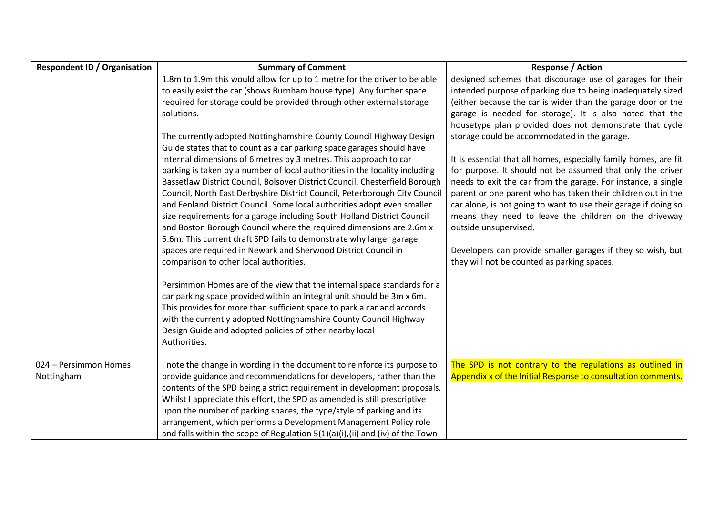| <b>Respondent ID / Organisation</b> | <b>Summary of Comment</b>                                                                                                                                                                                                                                                                                                                                                                                                                                                                                                                                                                                                                                                                                                                                                                                                                                                                                                                                                                                                                                                                                                                                                                                                                                                                                                                                                                                                                                                                                | <b>Response / Action</b>                                                                                                                                                                                                                                                                                                                                                                                                                                                                                                                                                                                                                                                                                                                                                                                                                                                                              |
|-------------------------------------|----------------------------------------------------------------------------------------------------------------------------------------------------------------------------------------------------------------------------------------------------------------------------------------------------------------------------------------------------------------------------------------------------------------------------------------------------------------------------------------------------------------------------------------------------------------------------------------------------------------------------------------------------------------------------------------------------------------------------------------------------------------------------------------------------------------------------------------------------------------------------------------------------------------------------------------------------------------------------------------------------------------------------------------------------------------------------------------------------------------------------------------------------------------------------------------------------------------------------------------------------------------------------------------------------------------------------------------------------------------------------------------------------------------------------------------------------------------------------------------------------------|-------------------------------------------------------------------------------------------------------------------------------------------------------------------------------------------------------------------------------------------------------------------------------------------------------------------------------------------------------------------------------------------------------------------------------------------------------------------------------------------------------------------------------------------------------------------------------------------------------------------------------------------------------------------------------------------------------------------------------------------------------------------------------------------------------------------------------------------------------------------------------------------------------|
|                                     | 1.8m to 1.9m this would allow for up to 1 metre for the driver to be able<br>to easily exist the car (shows Burnham house type). Any further space<br>required for storage could be provided through other external storage<br>solutions.<br>The currently adopted Nottinghamshire County Council Highway Design<br>Guide states that to count as a car parking space garages should have<br>internal dimensions of 6 metres by 3 metres. This approach to car<br>parking is taken by a number of local authorities in the locality including<br>Bassetlaw District Council, Bolsover District Council, Chesterfield Borough<br>Council, North East Derbyshire District Council, Peterborough City Council<br>and Fenland District Council. Some local authorities adopt even smaller<br>size requirements for a garage including South Holland District Council<br>and Boston Borough Council where the required dimensions are 2.6m x<br>5.6m. This current draft SPD fails to demonstrate why larger garage<br>spaces are required in Newark and Sherwood District Council in<br>comparison to other local authorities.<br>Persimmon Homes are of the view that the internal space standards for a<br>car parking space provided within an integral unit should be 3m x 6m.<br>This provides for more than sufficient space to park a car and accords<br>with the currently adopted Nottinghamshire County Council Highway<br>Design Guide and adopted policies of other nearby local<br>Authorities. | designed schemes that discourage use of garages for their<br>intended purpose of parking due to being inadequately sized<br>(either because the car is wider than the garage door or the<br>garage is needed for storage). It is also noted that the<br>housetype plan provided does not demonstrate that cycle<br>storage could be accommodated in the garage.<br>It is essential that all homes, especially family homes, are fit<br>for purpose. It should not be assumed that only the driver<br>needs to exit the car from the garage. For instance, a single<br>parent or one parent who has taken their children out in the<br>car alone, is not going to want to use their garage if doing so<br>means they need to leave the children on the driveway<br>outside unsupervised.<br>Developers can provide smaller garages if they so wish, but<br>they will not be counted as parking spaces. |
| 024 - Persimmon Homes<br>Nottingham | I note the change in wording in the document to reinforce its purpose to<br>provide guidance and recommendations for developers, rather than the<br>contents of the SPD being a strict requirement in development proposals.<br>Whilst I appreciate this effort, the SPD as amended is still prescriptive<br>upon the number of parking spaces, the type/style of parking and its<br>arrangement, which performs a Development Management Policy role<br>and falls within the scope of Regulation $5(1)(a)(i)$ , (ii) and (iv) of the Town                                                                                                                                                                                                                                                                                                                                                                                                                                                                                                                                                                                                                                                                                                                                                                                                                                                                                                                                                               | The SPD is not contrary to the regulations as outlined in<br>Appendix x of the Initial Response to consultation comments.                                                                                                                                                                                                                                                                                                                                                                                                                                                                                                                                                                                                                                                                                                                                                                             |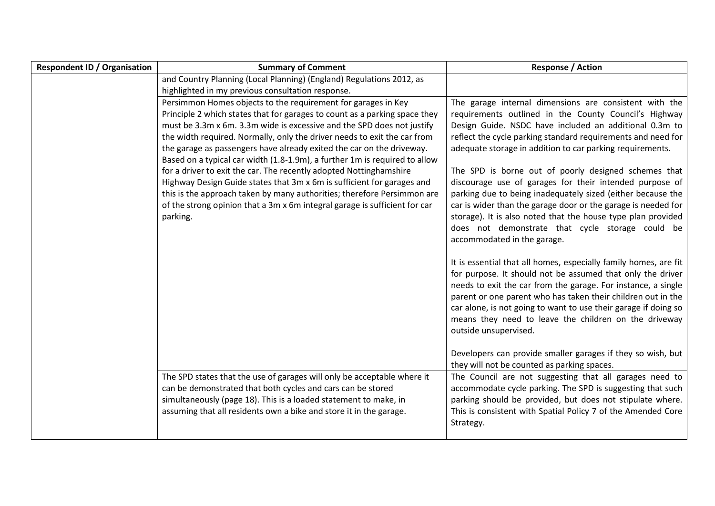| <b>Respondent ID / Organisation</b> | <b>Summary of Comment</b>                                                  | <b>Response / Action</b>                                                        |
|-------------------------------------|----------------------------------------------------------------------------|---------------------------------------------------------------------------------|
|                                     | and Country Planning (Local Planning) (England) Regulations 2012, as       |                                                                                 |
|                                     | highlighted in my previous consultation response.                          |                                                                                 |
|                                     | Persimmon Homes objects to the requirement for garages in Key              | The garage internal dimensions are consistent with the                          |
|                                     | Principle 2 which states that for garages to count as a parking space they | requirements outlined in the County Council's Highway                           |
|                                     | must be 3.3m x 6m. 3.3m wide is excessive and the SPD does not justify     | Design Guide. NSDC have included an additional 0.3m to                          |
|                                     | the width required. Normally, only the driver needs to exit the car from   | reflect the cycle parking standard requirements and need for                    |
|                                     | the garage as passengers have already exited the car on the driveway.      | adequate storage in addition to car parking requirements.                       |
|                                     | Based on a typical car width (1.8-1.9m), a further 1m is required to allow |                                                                                 |
|                                     | for a driver to exit the car. The recently adopted Nottinghamshire         | The SPD is borne out of poorly designed schemes that                            |
|                                     | Highway Design Guide states that 3m x 6m is sufficient for garages and     | discourage use of garages for their intended purpose of                         |
|                                     | this is the approach taken by many authorities; therefore Persimmon are    | parking due to being inadequately sized (either because the                     |
|                                     | of the strong opinion that a 3m x 6m integral garage is sufficient for car | car is wider than the garage door or the garage is needed for                   |
|                                     | parking.                                                                   | storage). It is also noted that the house type plan provided                    |
|                                     |                                                                            | does not demonstrate that cycle storage could be<br>accommodated in the garage. |
|                                     |                                                                            |                                                                                 |
|                                     |                                                                            | It is essential that all homes, especially family homes, are fit                |
|                                     |                                                                            | for purpose. It should not be assumed that only the driver                      |
|                                     |                                                                            | needs to exit the car from the garage. For instance, a single                   |
|                                     |                                                                            | parent or one parent who has taken their children out in the                    |
|                                     |                                                                            | car alone, is not going to want to use their garage if doing so                 |
|                                     |                                                                            | means they need to leave the children on the driveway                           |
|                                     |                                                                            | outside unsupervised.                                                           |
|                                     |                                                                            |                                                                                 |
|                                     |                                                                            | Developers can provide smaller garages if they so wish, but                     |
|                                     |                                                                            | they will not be counted as parking spaces.                                     |
|                                     | The SPD states that the use of garages will only be acceptable where it    | The Council are not suggesting that all garages need to                         |
|                                     | can be demonstrated that both cycles and cars can be stored                | accommodate cycle parking. The SPD is suggesting that such                      |
|                                     | simultaneously (page 18). This is a loaded statement to make, in           | parking should be provided, but does not stipulate where.                       |
|                                     | assuming that all residents own a bike and store it in the garage.         | This is consistent with Spatial Policy 7 of the Amended Core                    |
|                                     |                                                                            | Strategy.                                                                       |
|                                     |                                                                            |                                                                                 |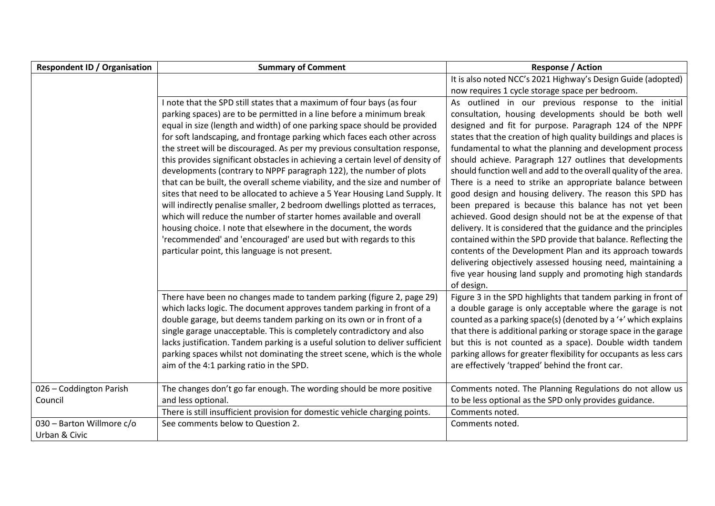| <b>Respondent ID / Organisation</b> | <b>Summary of Comment</b>                                                                                                                         | <b>Response / Action</b>                                                                                                      |
|-------------------------------------|---------------------------------------------------------------------------------------------------------------------------------------------------|-------------------------------------------------------------------------------------------------------------------------------|
|                                     |                                                                                                                                                   | It is also noted NCC's 2021 Highway's Design Guide (adopted)                                                                  |
|                                     |                                                                                                                                                   | now requires 1 cycle storage space per bedroom.                                                                               |
|                                     | I note that the SPD still states that a maximum of four bays (as four                                                                             | As outlined in our previous response to the initial                                                                           |
|                                     | parking spaces) are to be permitted in a line before a minimum break                                                                              | consultation, housing developments should be both well                                                                        |
|                                     | equal in size (length and width) of one parking space should be provided                                                                          | designed and fit for purpose. Paragraph 124 of the NPPF                                                                       |
|                                     | for soft landscaping, and frontage parking which faces each other across                                                                          | states that the creation of high quality buildings and places is                                                              |
|                                     | the street will be discouraged. As per my previous consultation response,                                                                         | fundamental to what the planning and development process                                                                      |
|                                     | this provides significant obstacles in achieving a certain level of density of                                                                    | should achieve. Paragraph 127 outlines that developments                                                                      |
|                                     | developments (contrary to NPPF paragraph 122), the number of plots                                                                                | should function well and add to the overall quality of the area.                                                              |
|                                     | that can be built, the overall scheme viability, and the size and number of                                                                       | There is a need to strike an appropriate balance between                                                                      |
|                                     | sites that need to be allocated to achieve a 5 Year Housing Land Supply. It                                                                       | good design and housing delivery. The reason this SPD has                                                                     |
|                                     | will indirectly penalise smaller, 2 bedroom dwellings plotted as terraces,<br>which will reduce the number of starter homes available and overall | been prepared is because this balance has not yet been                                                                        |
|                                     | housing choice. I note that elsewhere in the document, the words                                                                                  | achieved. Good design should not be at the expense of that<br>delivery. It is considered that the guidance and the principles |
|                                     | 'recommended' and 'encouraged' are used but with regards to this                                                                                  | contained within the SPD provide that balance. Reflecting the                                                                 |
|                                     | particular point, this language is not present.                                                                                                   | contents of the Development Plan and its approach towards                                                                     |
|                                     |                                                                                                                                                   | delivering objectively assessed housing need, maintaining a                                                                   |
|                                     |                                                                                                                                                   | five year housing land supply and promoting high standards                                                                    |
|                                     |                                                                                                                                                   | of design.                                                                                                                    |
|                                     | There have been no changes made to tandem parking (figure 2, page 29)                                                                             | Figure 3 in the SPD highlights that tandem parking in front of                                                                |
|                                     | which lacks logic. The document approves tandem parking in front of a                                                                             | a double garage is only acceptable where the garage is not                                                                    |
|                                     | double garage, but deems tandem parking on its own or in front of a                                                                               | counted as a parking space(s) (denoted by a '+' which explains                                                                |
|                                     | single garage unacceptable. This is completely contradictory and also                                                                             | that there is additional parking or storage space in the garage                                                               |
|                                     | lacks justification. Tandem parking is a useful solution to deliver sufficient                                                                    | but this is not counted as a space). Double width tandem                                                                      |
|                                     | parking spaces whilst not dominating the street scene, which is the whole                                                                         | parking allows for greater flexibility for occupants as less cars                                                             |
|                                     | aim of the 4:1 parking ratio in the SPD.                                                                                                          | are effectively 'trapped' behind the front car.                                                                               |
|                                     |                                                                                                                                                   |                                                                                                                               |
| 026 - Coddington Parish             | The changes don't go far enough. The wording should be more positive                                                                              | Comments noted. The Planning Regulations do not allow us                                                                      |
| Council                             | and less optional.                                                                                                                                | to be less optional as the SPD only provides guidance.                                                                        |
|                                     | There is still insufficient provision for domestic vehicle charging points.                                                                       | Comments noted.                                                                                                               |
| 030 - Barton Willmore c/o           | See comments below to Question 2.                                                                                                                 | Comments noted.                                                                                                               |
| Urban & Civic                       |                                                                                                                                                   |                                                                                                                               |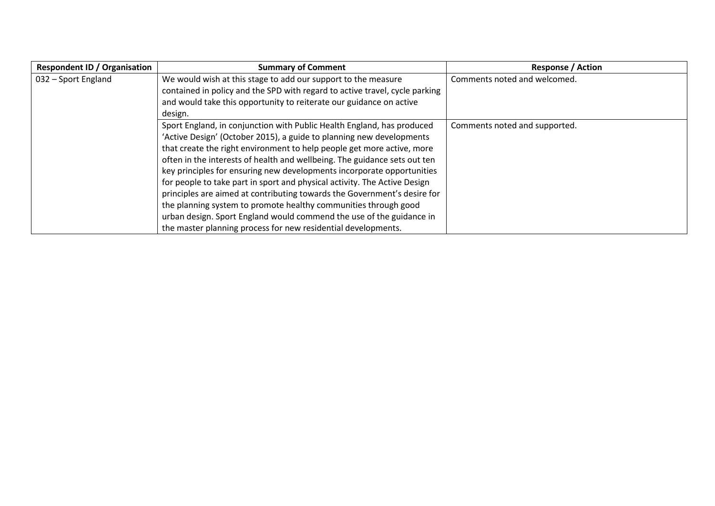| <b>Respondent ID / Organisation</b> | <b>Summary of Comment</b>                                                   | <b>Response / Action</b>      |
|-------------------------------------|-----------------------------------------------------------------------------|-------------------------------|
| 032 - Sport England                 | We would wish at this stage to add our support to the measure               | Comments noted and welcomed.  |
|                                     | contained in policy and the SPD with regard to active travel, cycle parking |                               |
|                                     | and would take this opportunity to reiterate our guidance on active         |                               |
|                                     | design.                                                                     |                               |
|                                     | Sport England, in conjunction with Public Health England, has produced      | Comments noted and supported. |
|                                     | 'Active Design' (October 2015), a guide to planning new developments        |                               |
|                                     | that create the right environment to help people get more active, more      |                               |
|                                     | often in the interests of health and wellbeing. The guidance sets out ten   |                               |
|                                     | key principles for ensuring new developments incorporate opportunities      |                               |
|                                     | for people to take part in sport and physical activity. The Active Design   |                               |
|                                     | principles are aimed at contributing towards the Government's desire for    |                               |
|                                     | the planning system to promote healthy communities through good             |                               |
|                                     | urban design. Sport England would commend the use of the guidance in        |                               |
|                                     | the master planning process for new residential developments.               |                               |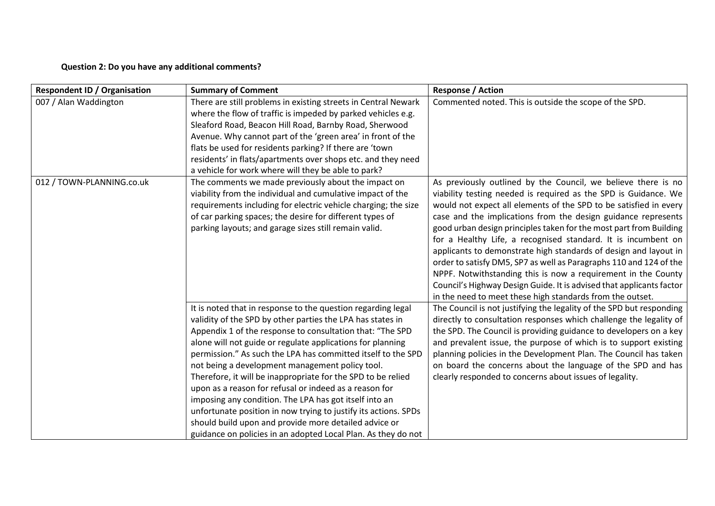### **Question 2: Do you have any additional comments?**

| <b>Respondent ID / Organisation</b> | <b>Summary of Comment</b>                                                                                                                                                                                                                                                                                                                                                                                                                                                                                                                                                                                                                                                                                                                                 | <b>Response / Action</b>                                                                                                                                                                                                                                                                                                                                                                                                                                                                                                                                                                                                                                                                                                                                      |
|-------------------------------------|-----------------------------------------------------------------------------------------------------------------------------------------------------------------------------------------------------------------------------------------------------------------------------------------------------------------------------------------------------------------------------------------------------------------------------------------------------------------------------------------------------------------------------------------------------------------------------------------------------------------------------------------------------------------------------------------------------------------------------------------------------------|---------------------------------------------------------------------------------------------------------------------------------------------------------------------------------------------------------------------------------------------------------------------------------------------------------------------------------------------------------------------------------------------------------------------------------------------------------------------------------------------------------------------------------------------------------------------------------------------------------------------------------------------------------------------------------------------------------------------------------------------------------------|
| 007 / Alan Waddington               | There are still problems in existing streets in Central Newark<br>where the flow of traffic is impeded by parked vehicles e.g.<br>Sleaford Road, Beacon Hill Road, Barnby Road, Sherwood<br>Avenue. Why cannot part of the 'green area' in front of the<br>flats be used for residents parking? If there are 'town<br>residents' in flats/apartments over shops etc. and they need<br>a vehicle for work where will they be able to park?                                                                                                                                                                                                                                                                                                                 | Commented noted. This is outside the scope of the SPD.                                                                                                                                                                                                                                                                                                                                                                                                                                                                                                                                                                                                                                                                                                        |
| 012 / TOWN-PLANNING.co.uk           | The comments we made previously about the impact on<br>viability from the individual and cumulative impact of the<br>requirements including for electric vehicle charging; the size<br>of car parking spaces; the desire for different types of<br>parking layouts; and garage sizes still remain valid.                                                                                                                                                                                                                                                                                                                                                                                                                                                  | As previously outlined by the Council, we believe there is no<br>viability testing needed is required as the SPD is Guidance. We<br>would not expect all elements of the SPD to be satisfied in every<br>case and the implications from the design guidance represents<br>good urban design principles taken for the most part from Building<br>for a Healthy Life, a recognised standard. It is incumbent on<br>applicants to demonstrate high standards of design and layout in<br>order to satisfy DM5, SP7 as well as Paragraphs 110 and 124 of the<br>NPPF. Notwithstanding this is now a requirement in the County<br>Council's Highway Design Guide. It is advised that applicants factor<br>in the need to meet these high standards from the outset. |
|                                     | It is noted that in response to the question regarding legal<br>validity of the SPD by other parties the LPA has states in<br>Appendix 1 of the response to consultation that: "The SPD<br>alone will not guide or regulate applications for planning<br>permission." As such the LPA has committed itself to the SPD<br>not being a development management policy tool.<br>Therefore, it will be inappropriate for the SPD to be relied<br>upon as a reason for refusal or indeed as a reason for<br>imposing any condition. The LPA has got itself into an<br>unfortunate position in now trying to justify its actions. SPDs<br>should build upon and provide more detailed advice or<br>guidance on policies in an adopted Local Plan. As they do not | The Council is not justifying the legality of the SPD but responding<br>directly to consultation responses which challenge the legality of<br>the SPD. The Council is providing guidance to developers on a key<br>and prevalent issue, the purpose of which is to support existing<br>planning policies in the Development Plan. The Council has taken<br>on board the concerns about the language of the SPD and has<br>clearly responded to concerns about issues of legality.                                                                                                                                                                                                                                                                             |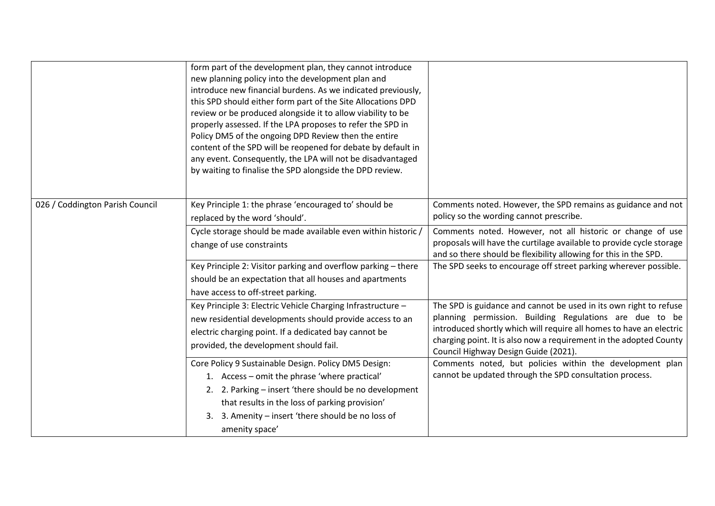|                                 | form part of the development plan, they cannot introduce<br>new planning policy into the development plan and<br>introduce new financial burdens. As we indicated previously,<br>this SPD should either form part of the Site Allocations DPD<br>review or be produced alongside it to allow viability to be<br>properly assessed. If the LPA proposes to refer the SPD in<br>Policy DM5 of the ongoing DPD Review then the entire<br>content of the SPD will be reopened for debate by default in<br>any event. Consequently, the LPA will not be disadvantaged<br>by waiting to finalise the SPD alongside the DPD review. |                                                                                                                                                                                                                                                                                                                   |
|---------------------------------|------------------------------------------------------------------------------------------------------------------------------------------------------------------------------------------------------------------------------------------------------------------------------------------------------------------------------------------------------------------------------------------------------------------------------------------------------------------------------------------------------------------------------------------------------------------------------------------------------------------------------|-------------------------------------------------------------------------------------------------------------------------------------------------------------------------------------------------------------------------------------------------------------------------------------------------------------------|
| 026 / Coddington Parish Council | Key Principle 1: the phrase 'encouraged to' should be<br>replaced by the word 'should'.                                                                                                                                                                                                                                                                                                                                                                                                                                                                                                                                      | Comments noted. However, the SPD remains as guidance and not<br>policy so the wording cannot prescribe.                                                                                                                                                                                                           |
|                                 | Cycle storage should be made available even within historic /<br>change of use constraints                                                                                                                                                                                                                                                                                                                                                                                                                                                                                                                                   | Comments noted. However, not all historic or change of use<br>proposals will have the curtilage available to provide cycle storage<br>and so there should be flexibility allowing for this in the SPD.                                                                                                            |
|                                 | Key Principle 2: Visitor parking and overflow parking - there<br>should be an expectation that all houses and apartments<br>have access to off-street parking.                                                                                                                                                                                                                                                                                                                                                                                                                                                               | The SPD seeks to encourage off street parking wherever possible.                                                                                                                                                                                                                                                  |
|                                 | Key Principle 3: Electric Vehicle Charging Infrastructure -<br>new residential developments should provide access to an<br>electric charging point. If a dedicated bay cannot be<br>provided, the development should fail.                                                                                                                                                                                                                                                                                                                                                                                                   | The SPD is guidance and cannot be used in its own right to refuse<br>planning permission. Building Regulations are due to be<br>introduced shortly which will require all homes to have an electric<br>charging point. It is also now a requirement in the adopted County<br>Council Highway Design Guide (2021). |
|                                 | Core Policy 9 Sustainable Design. Policy DM5 Design:<br>1. Access - omit the phrase 'where practical'<br>2. 2. Parking - insert 'there should be no development<br>that results in the loss of parking provision'<br>3. Amenity - insert 'there should be no loss of<br>3.<br>amenity space'                                                                                                                                                                                                                                                                                                                                 | Comments noted, but policies within the development plan<br>cannot be updated through the SPD consultation process.                                                                                                                                                                                               |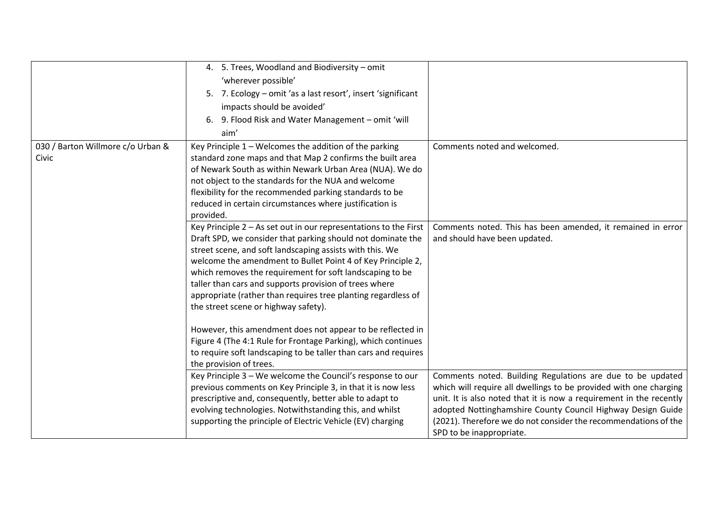|                                            | 4. 5. Trees, Woodland and Biodiversity - omit<br>'wherever possible'<br>5. 7. Ecology – omit 'as a last resort', insert 'significant<br>impacts should be avoided'                                                                                                                                                                                                                                                                                                                          |                                                                                                                                                                                                                                                                                                                                                                      |
|--------------------------------------------|---------------------------------------------------------------------------------------------------------------------------------------------------------------------------------------------------------------------------------------------------------------------------------------------------------------------------------------------------------------------------------------------------------------------------------------------------------------------------------------------|----------------------------------------------------------------------------------------------------------------------------------------------------------------------------------------------------------------------------------------------------------------------------------------------------------------------------------------------------------------------|
|                                            | 9. Flood Risk and Water Management - omit 'will<br>6.<br>aim'                                                                                                                                                                                                                                                                                                                                                                                                                               |                                                                                                                                                                                                                                                                                                                                                                      |
| 030 / Barton Willmore c/o Urban &<br>Civic | Key Principle 1 - Welcomes the addition of the parking<br>standard zone maps and that Map 2 confirms the built area<br>of Newark South as within Newark Urban Area (NUA). We do<br>not object to the standards for the NUA and welcome<br>flexibility for the recommended parking standards to be<br>reduced in certain circumstances where justification is<br>provided.                                                                                                                   | Comments noted and welcomed.                                                                                                                                                                                                                                                                                                                                         |
|                                            | Key Principle $2 - As$ set out in our representations to the First<br>Draft SPD, we consider that parking should not dominate the<br>street scene, and soft landscaping assists with this. We<br>welcome the amendment to Bullet Point 4 of Key Principle 2,<br>which removes the requirement for soft landscaping to be<br>taller than cars and supports provision of trees where<br>appropriate (rather than requires tree planting regardless of<br>the street scene or highway safety). | Comments noted. This has been amended, it remained in error<br>and should have been updated.                                                                                                                                                                                                                                                                         |
|                                            | However, this amendment does not appear to be reflected in<br>Figure 4 (The 4:1 Rule for Frontage Parking), which continues<br>to require soft landscaping to be taller than cars and requires<br>the provision of trees.                                                                                                                                                                                                                                                                   |                                                                                                                                                                                                                                                                                                                                                                      |
|                                            | Key Principle 3 - We welcome the Council's response to our<br>previous comments on Key Principle 3, in that it is now less<br>prescriptive and, consequently, better able to adapt to<br>evolving technologies. Notwithstanding this, and whilst<br>supporting the principle of Electric Vehicle (EV) charging                                                                                                                                                                              | Comments noted. Building Regulations are due to be updated<br>which will require all dwellings to be provided with one charging<br>unit. It is also noted that it is now a requirement in the recently<br>adopted Nottinghamshire County Council Highway Design Guide<br>(2021). Therefore we do not consider the recommendations of the<br>SPD to be inappropriate. |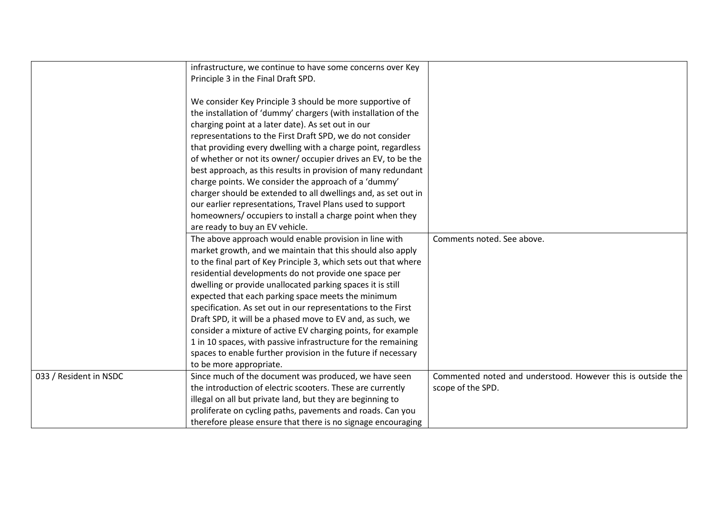|                        | infrastructure, we continue to have some concerns over Key      |                                                             |
|------------------------|-----------------------------------------------------------------|-------------------------------------------------------------|
|                        | Principle 3 in the Final Draft SPD.                             |                                                             |
|                        | We consider Key Principle 3 should be more supportive of        |                                                             |
|                        | the installation of 'dummy' chargers (with installation of the  |                                                             |
|                        | charging point at a later date). As set out in our              |                                                             |
|                        | representations to the First Draft SPD, we do not consider      |                                                             |
|                        | that providing every dwelling with a charge point, regardless   |                                                             |
|                        | of whether or not its owner/ occupier drives an EV, to be the   |                                                             |
|                        | best approach, as this results in provision of many redundant   |                                                             |
|                        | charge points. We consider the approach of a 'dummy'            |                                                             |
|                        | charger should be extended to all dwellings and, as set out in  |                                                             |
|                        | our earlier representations, Travel Plans used to support       |                                                             |
|                        | homeowners/ occupiers to install a charge point when they       |                                                             |
|                        | are ready to buy an EV vehicle.                                 |                                                             |
|                        | The above approach would enable provision in line with          | Comments noted. See above.                                  |
|                        | market growth, and we maintain that this should also apply      |                                                             |
|                        | to the final part of Key Principle 3, which sets out that where |                                                             |
|                        | residential developments do not provide one space per           |                                                             |
|                        | dwelling or provide unallocated parking spaces it is still      |                                                             |
|                        | expected that each parking space meets the minimum              |                                                             |
|                        | specification. As set out in our representations to the First   |                                                             |
|                        | Draft SPD, it will be a phased move to EV and, as such, we      |                                                             |
|                        | consider a mixture of active EV charging points, for example    |                                                             |
|                        | 1 in 10 spaces, with passive infrastructure for the remaining   |                                                             |
|                        | spaces to enable further provision in the future if necessary   |                                                             |
|                        | to be more appropriate.                                         |                                                             |
| 033 / Resident in NSDC | Since much of the document was produced, we have seen           | Commented noted and understood. However this is outside the |
|                        | the introduction of electric scooters. These are currently      | scope of the SPD.                                           |
|                        | illegal on all but private land, but they are beginning to      |                                                             |
|                        | proliferate on cycling paths, pavements and roads. Can you      |                                                             |
|                        | therefore please ensure that there is no signage encouraging    |                                                             |